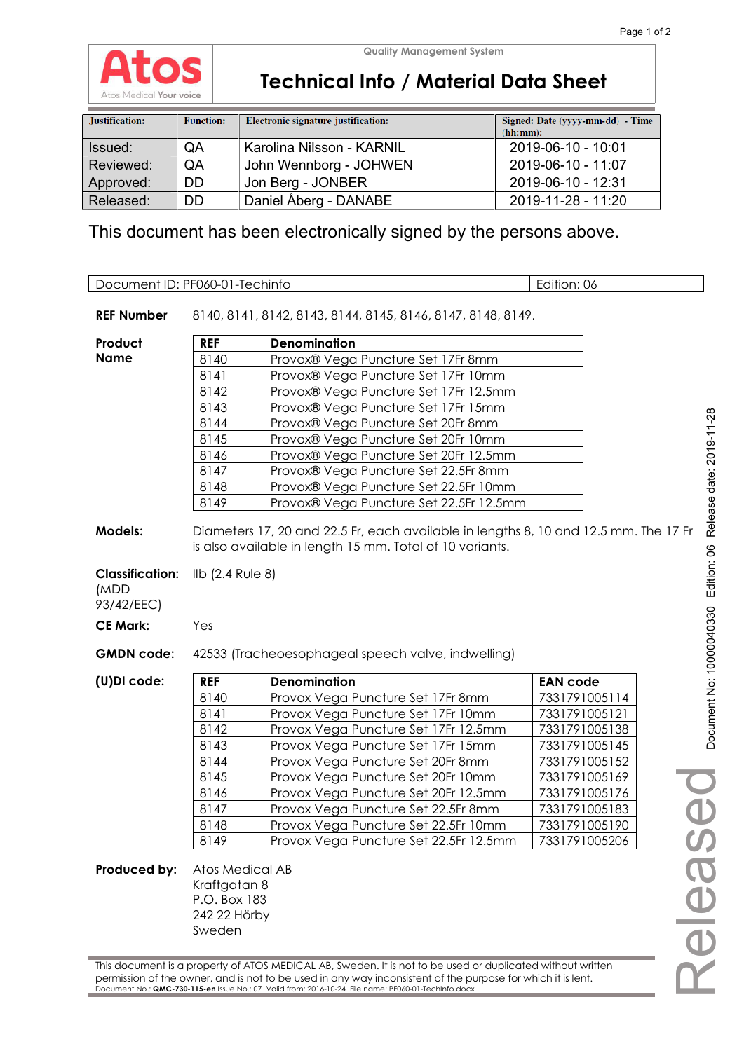

**Quality Management System**

# **Technical Info / Material Data Sheet**

| Justification: | <b>Function:</b> | Electronic signature justification: | Signed: Date (yyyy-mm-dd) - Time<br>(hh:mm): |
|----------------|------------------|-------------------------------------|----------------------------------------------|
| Issued:        | QA               | Karolina Nilsson - KARNIL           | 2019-06-10 - 10:01                           |
| Reviewed:      | QA               | John Wennborg - JOHWEN              | 2019-06-10 - 11:07                           |
| Approved:      | <b>DD</b>        | Jon Berg - JONBER                   | 2019-06-10 - 12:31                           |
| Released:      | DD               | Daniel Åberg - DANABE               | 2019-11-28 - 11:20                           |

This document has been electronically signed by the persons above.

| Document ID: PF060-01-Techinfo                                 |                                                                           |                                                                                                                                                  | Edition: 06                      |
|----------------------------------------------------------------|---------------------------------------------------------------------------|--------------------------------------------------------------------------------------------------------------------------------------------------|----------------------------------|
|                                                                |                                                                           |                                                                                                                                                  |                                  |
| <b>REF Number</b>                                              |                                                                           | 8140, 8141, 8142, 8143, 8144, 8145, 8146, 8147, 8148, 8149.                                                                                      |                                  |
| Product                                                        | <b>REF</b>                                                                | <b>Denomination</b>                                                                                                                              |                                  |
| <b>Name</b>                                                    | 8140                                                                      | Provox® Vega Puncture Set 17Fr 8mm                                                                                                               |                                  |
|                                                                | 8141                                                                      | Provox® Vega Puncture Set 17Fr 10mm                                                                                                              |                                  |
|                                                                | 8142                                                                      | Provox® Vega Puncture Set 17Fr 12.5mm                                                                                                            |                                  |
|                                                                | 8143                                                                      | Provox® Vega Puncture Set 17Fr 15mm                                                                                                              |                                  |
|                                                                | 8144                                                                      | Provox® Vega Puncture Set 20Fr 8mm                                                                                                               |                                  |
|                                                                | 8145                                                                      | Provox® Vega Puncture Set 20Fr 10mm                                                                                                              |                                  |
|                                                                | 8146                                                                      | Provox® Vega Puncture Set 20Fr 12.5mm                                                                                                            |                                  |
|                                                                | 8147                                                                      | Provox® Vega Puncture Set 22.5Fr 8mm                                                                                                             |                                  |
|                                                                | 8148                                                                      | Provox® Vega Puncture Set 22.5Fr 10mm                                                                                                            |                                  |
|                                                                | 8149                                                                      | Provox® Vega Puncture Set 22.5Fr 12.5mm                                                                                                          |                                  |
| <b>Models:</b><br><b>Classification:</b><br>(MDD<br>93/42/EEC) | Ilb (2.4 Rule 8)                                                          | Diameters 17, 20 and 22.5 Fr, each available in lengths 8, 10 and 12.5 mm. The 17 Fr<br>is also available in length 15 mm. Total of 10 variants. |                                  |
| <b>CE Mark:</b>                                                | Yes                                                                       |                                                                                                                                                  |                                  |
| <b>GMDN</b> code:                                              |                                                                           | 42533 (Tracheoesophageal speech valve, indwelling)                                                                                               |                                  |
|                                                                | <b>REF</b>                                                                |                                                                                                                                                  |                                  |
| (U)DI code:                                                    | 8140                                                                      | <b>Denomination</b>                                                                                                                              | <b>EAN code</b><br>7331791005114 |
|                                                                | 8141                                                                      | Provox Vega Puncture Set 17Fr 8mm<br>Provox Vega Puncture Set 17Fr 10mm                                                                          | 7331791005121                    |
|                                                                | 8142                                                                      | Provox Vega Puncture Set 17Fr 12.5mm                                                                                                             | 7331791005138                    |
|                                                                | 8143                                                                      | Provox Vega Puncture Set 17Fr 15mm                                                                                                               | 7331791005145                    |
|                                                                | 8144                                                                      | Provox Vega Puncture Set 20Fr 8mm                                                                                                                | 7331791005152                    |
|                                                                | 8145                                                                      | Provox Vega Puncture Set 20Fr 10mm                                                                                                               | 7331791005169                    |
|                                                                | 8146                                                                      | Provox Vega Puncture Set 20Fr 12.5mm                                                                                                             | $\overline{G}$<br>7331791005176  |
|                                                                | 8147                                                                      | Provox Vega Puncture Set 22.5Fr 8mm                                                                                                              | 7331791005183                    |
|                                                                | 8148                                                                      | Provox Vega Puncture Set 22.5Fr 10mm                                                                                                             | 7331791005190                    |
|                                                                | 8149                                                                      | Provox Vega Puncture Set 22.5Fr 12.5mm                                                                                                           | 7331791005206                    |
| Produced by:                                                   | Atos Medical AB<br>Kraftgatan 8<br>P.O. Box 183<br>242 22 Hörby<br>Sweden |                                                                                                                                                  |                                  |

This document is a property of ATOS MEDICAL AB, Sweden. It is not to be used or duplicated without written permission of the owner, and is not to be used in any way inconsistent of the purpose for which it is lent. Document No.: **QMC-730-115-en** Issue No.: 07 Valid from: 2016-10-24 File name: PF060-01-TechInfo.docx

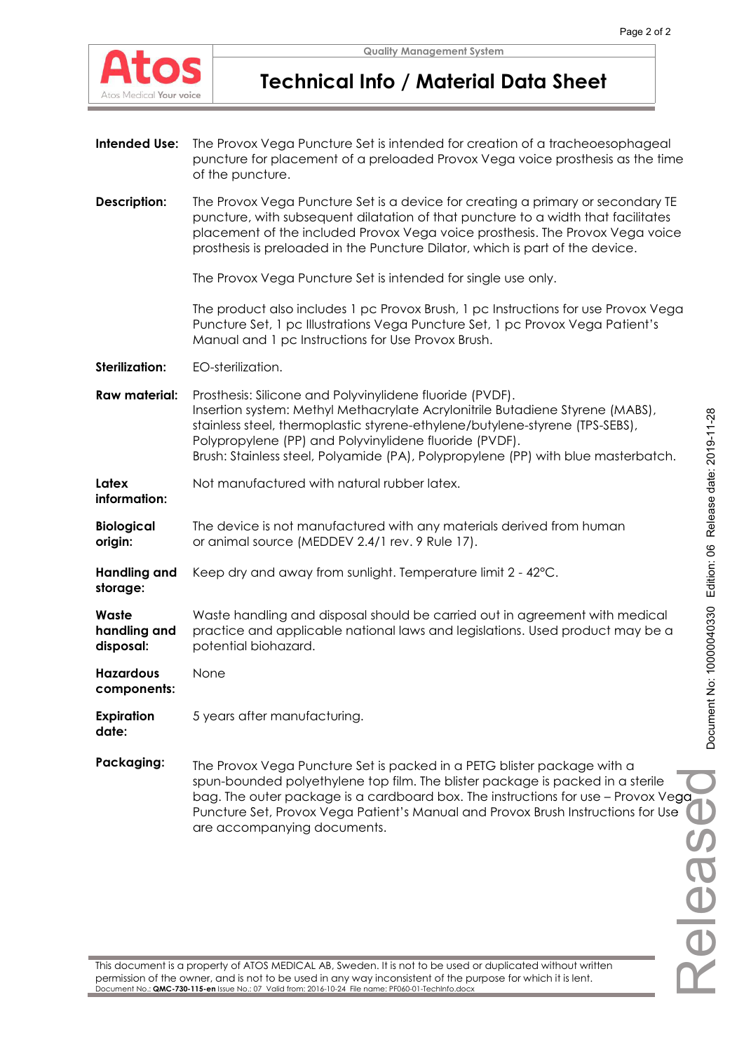

# **Technical Info / Material Data Sheet**

- **Intended Use:** The Provox Vega Puncture Set is intended for creation of a tracheoesophageal puncture for placement of a preloaded Provox Vega voice prosthesis as the time of the puncture.
- **Description:** The Provox Vega Puncture Set is a device for creating a primary or secondary TE puncture, with subsequent dilatation of that puncture to a width that facilitates placement of the included Provox Vega voice prosthesis. The Provox Vega voice prosthesis is preloaded in the Puncture Dilator, which is part of the device.

The Provox Vega Puncture Set is intended for single use only.

The product also includes 1 pc Provox Brush, 1 pc Instructions for use Provox Vega Puncture Set, 1 pc Illustrations Vega Puncture Set, 1 pc Provox Vega Patient's Manual and 1 pc Instructions for Use Provox Brush.

**Sterilization:** EO-sterilization.

- **Raw material:** Prosthesis: Silicone and Polyvinylidene fluoride (PVDF). Insertion system: Methyl Methacrylate Acrylonitrile Butadiene Styrene (MABS), stainless steel, thermoplastic styrene-ethylene/butylene-styrene (TPS-SEBS), Polypropylene (PP) and Polyvinylidene fluoride (PVDF). Brush: Stainless steel, Polyamide (PA), Polypropylene (PP) with blue masterbatch.
- **Latex information:**  Not manufactured with natural rubber latex.
- **Biological origin:**  The device is not manufactured with any materials derived from human or animal source (MEDDEV 2.4/1 rev. 9 Rule 17).
- **Handling and**  Keep dry and away from sunlight. Temperature limit 2 - 42°C.
- **Waste handling and disposal:**  Waste handling and disposal should be carried out in agreement with medical practice and applicable national laws and legislations. Used product may be a potential biohazard.

**Hazardous components:**  None

**storage:** 

**Expiration date:**  5 years after manufacturing.

**Packaging:** The Provox Vega Puncture Set is packed in a PETG blister package with a spun-bounded polyethylene top film. The blister package is packed in a sterile bag. The outer package is a cardboard box. The instructions for use – Provox Vega Puncture Set, Provox Vega Patient's Manual and Provox Brush Instructions for Use are accompanying documents.

Releasedga e

This document is a property of ATOS MEDICAL AB, Sweden. It is not to be used or duplicated without written permission of the owner, and is not to be used in any way inconsistent of the purpose for which it is lent. Document No.: **QMC-730-115-en** Issue No.: 07 Valid from: 2016-10-24 File name: PF060-01-TechInfo.docx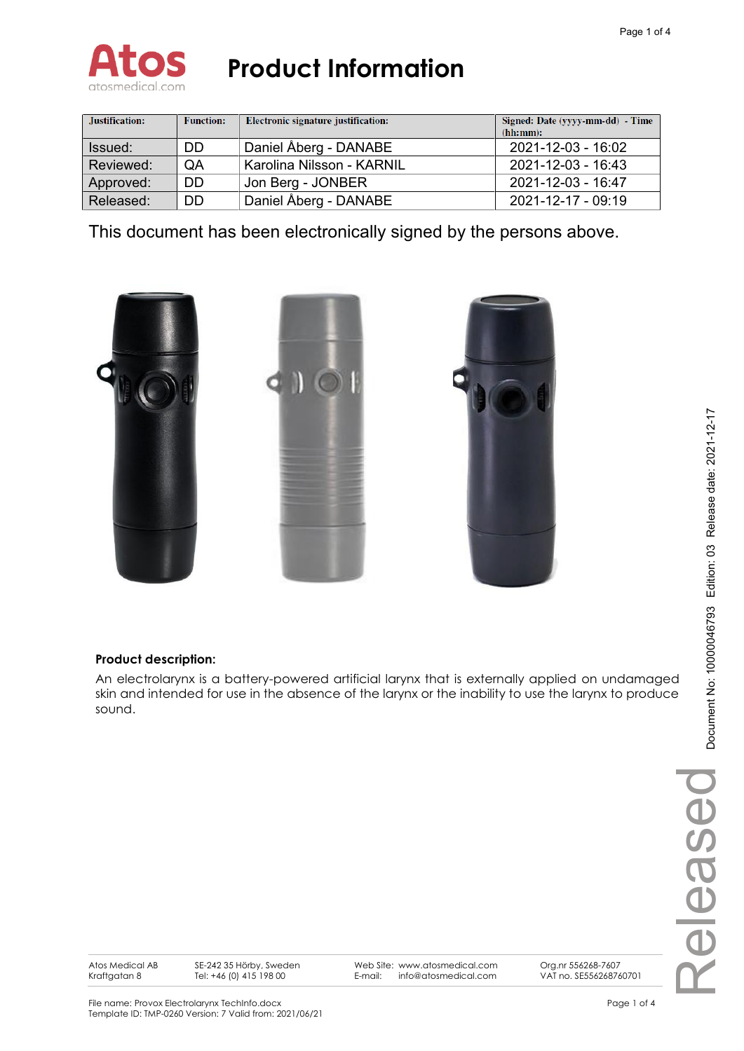

| Justification: | <b>Function:</b> | Electronic signature justification: | Signed: Date (yyyy-mm-dd) - Time<br>(hh:mm): |
|----------------|------------------|-------------------------------------|----------------------------------------------|
| Issued:        | DD               | Daniel Åberg - DANABE               | 2021-12-03 - 16:02                           |
| Reviewed:      | QA               | Karolina Nilsson - KARNIL           | 2021-12-03 - 16:43                           |
| Approved:      | DD               | Jon Berg - JONBER                   | 2021-12-03 - 16:47                           |
| Released:      | DD               | Daniel Åberg - DANABE               | 2021-12-17 - 09:19                           |

This document has been electronically signed by the persons above.



## **Product description:**

An electrolarynx is a battery-powered artificial larynx that is externally applied on undamaged skin and intended for use in the absence of the larynx or the inability to use the larynx to produce sound.

Atos Medical AB Kraftgatan 8

SE-242 35 Hörby, Sweden Tel: +46 (0) 415 198 00

Web Site: www.atosmedical.com E-mail: info@atosmedical.com

Org.nr 556268-7607 VAT no. SE556268760701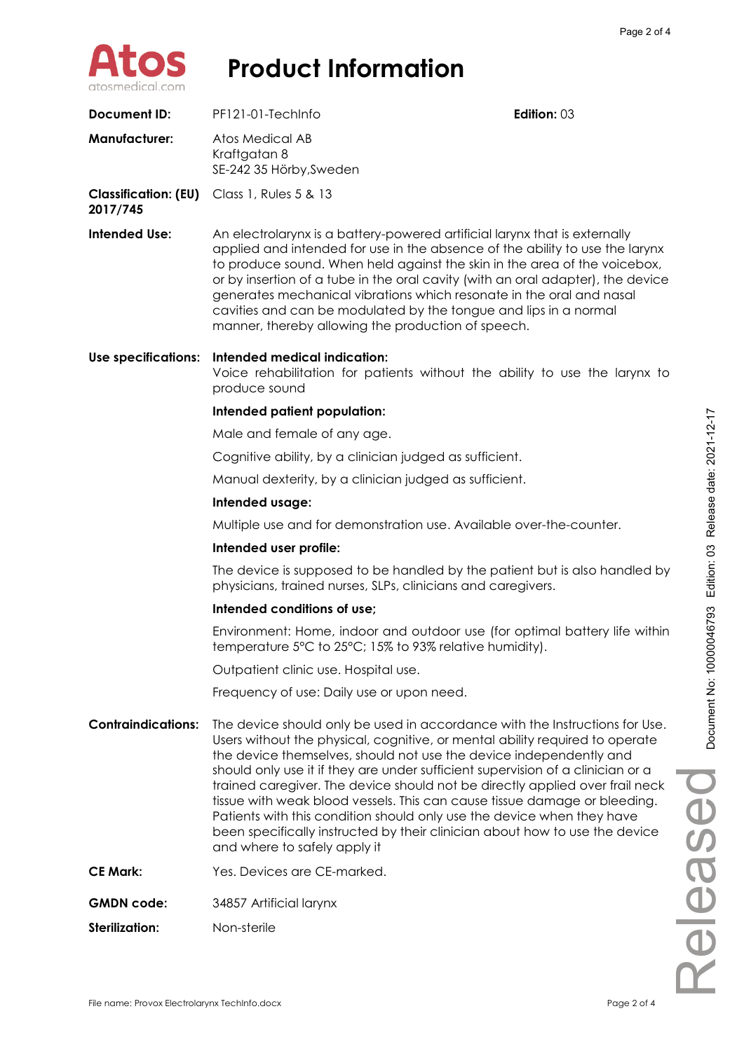

| <b>Document ID:</b>                     | PF121-01-TechInfo                                                                                                                                                                                                                                                                                                                                                                                                                                                                                                                                                                                                                                                          | Edition: 03 |                          |
|-----------------------------------------|----------------------------------------------------------------------------------------------------------------------------------------------------------------------------------------------------------------------------------------------------------------------------------------------------------------------------------------------------------------------------------------------------------------------------------------------------------------------------------------------------------------------------------------------------------------------------------------------------------------------------------------------------------------------------|-------------|--------------------------|
| <b>Manufacturer:</b>                    | Atos Medical AB<br>Kraftgatan 8<br>SE-242 35 Hörby, Sweden                                                                                                                                                                                                                                                                                                                                                                                                                                                                                                                                                                                                                 |             |                          |
| <b>Classification: (EU)</b><br>2017/745 | Class 1, Rules 5 & 13                                                                                                                                                                                                                                                                                                                                                                                                                                                                                                                                                                                                                                                      |             |                          |
| <b>Intended Use:</b>                    | An electrolarynx is a battery-powered artificial larynx that is externally<br>applied and intended for use in the absence of the ability to use the larynx<br>to produce sound. When held against the skin in the area of the voicebox,<br>or by insertion of a tube in the oral cavity (with an oral adapter), the device<br>generates mechanical vibrations which resonate in the oral and nasal<br>cavities and can be modulated by the tongue and lips in a normal<br>manner, thereby allowing the production of speech.                                                                                                                                               |             |                          |
| Use specifications:                     | Intended medical indication:<br>Voice rehabilitation for patients without the ability to use the larynx to<br>produce sound                                                                                                                                                                                                                                                                                                                                                                                                                                                                                                                                                |             |                          |
|                                         | Intended patient population:                                                                                                                                                                                                                                                                                                                                                                                                                                                                                                                                                                                                                                               |             |                          |
|                                         | Male and female of any age.                                                                                                                                                                                                                                                                                                                                                                                                                                                                                                                                                                                                                                                |             | Release date: 2021-12-17 |
|                                         | Cognitive ability, by a clinician judged as sufficient.                                                                                                                                                                                                                                                                                                                                                                                                                                                                                                                                                                                                                    |             |                          |
|                                         | Manual dexterity, by a clinician judged as sufficient.                                                                                                                                                                                                                                                                                                                                                                                                                                                                                                                                                                                                                     |             |                          |
|                                         | Intended usage:                                                                                                                                                                                                                                                                                                                                                                                                                                                                                                                                                                                                                                                            |             |                          |
|                                         | Multiple use and for demonstration use. Available over-the-counter.                                                                                                                                                                                                                                                                                                                                                                                                                                                                                                                                                                                                        |             |                          |
|                                         | Intended user profile:                                                                                                                                                                                                                                                                                                                                                                                                                                                                                                                                                                                                                                                     |             |                          |
|                                         | The device is supposed to be handled by the patient but is also handled by<br>physicians, trained nurses, SLPs, clinicians and caregivers.                                                                                                                                                                                                                                                                                                                                                                                                                                                                                                                                 |             | Edition: 03              |
|                                         | Intended conditions of use;                                                                                                                                                                                                                                                                                                                                                                                                                                                                                                                                                                                                                                                |             |                          |
|                                         | Environment: Home, indoor and outdoor use (for optimal battery life within<br>temperature 5°C to 25°C; 15% to 93% relative humidity).                                                                                                                                                                                                                                                                                                                                                                                                                                                                                                                                      |             | 000046793                |
|                                         | Outpatient clinic use. Hospital use.                                                                                                                                                                                                                                                                                                                                                                                                                                                                                                                                                                                                                                       |             |                          |
|                                         | Frequency of use: Daily use or upon need.                                                                                                                                                                                                                                                                                                                                                                                                                                                                                                                                                                                                                                  |             |                          |
| <b>Contraindications:</b>               | The device should only be used in accordance with the Instructions for Use.<br>Users without the physical, cognitive, or mental ability required to operate<br>the device themselves, should not use the device independently and<br>should only use it if they are under sufficient supervision of a clinician or a<br>trained caregiver. The device should not be directly applied over frail neck<br>tissue with weak blood vessels. This can cause tissue damage or bleeding.<br>Patients with this condition should only use the device when they have<br>been specifically instructed by their clinician about how to use the device<br>and where to safely apply it |             | Document No: 10<br>OSSO  |
| <b>CE Mark:</b>                         | Yes. Devices are CE-marked.                                                                                                                                                                                                                                                                                                                                                                                                                                                                                                                                                                                                                                                |             |                          |
| <b>GMDN</b> code:                       | 34857 Artificial larynx                                                                                                                                                                                                                                                                                                                                                                                                                                                                                                                                                                                                                                                    |             | $\frac{1}{\theta}$       |
| <b>Sterilization:</b>                   | Non-sterile                                                                                                                                                                                                                                                                                                                                                                                                                                                                                                                                                                                                                                                                |             |                          |
|                                         |                                                                                                                                                                                                                                                                                                                                                                                                                                                                                                                                                                                                                                                                            |             |                          |
|                                         |                                                                                                                                                                                                                                                                                                                                                                                                                                                                                                                                                                                                                                                                            |             |                          |
|                                         |                                                                                                                                                                                                                                                                                                                                                                                                                                                                                                                                                                                                                                                                            |             |                          |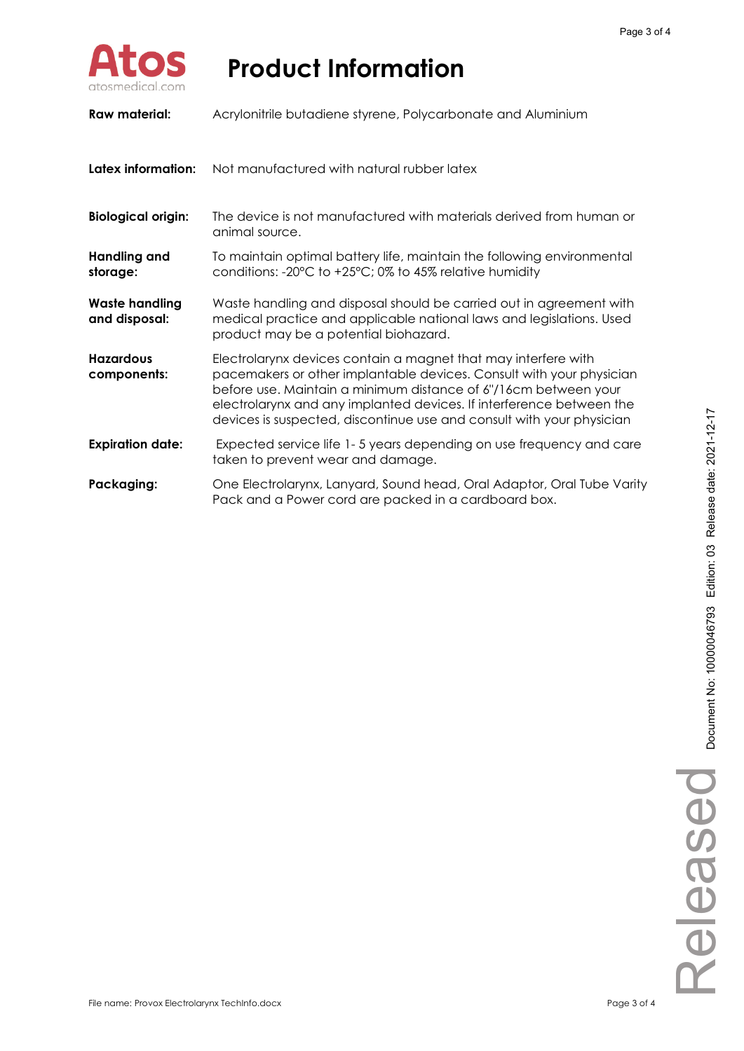

| Raw material:                          | Acrylonitrile butadiene styrene, Polycarbonate and Aluminium                                                                                                                                                                                                                                                                                               |
|----------------------------------------|------------------------------------------------------------------------------------------------------------------------------------------------------------------------------------------------------------------------------------------------------------------------------------------------------------------------------------------------------------|
| Latex information:                     | Not manufactured with natural rubber latex                                                                                                                                                                                                                                                                                                                 |
| <b>Biological origin:</b>              | The device is not manufactured with materials derived from human or<br>animal source.                                                                                                                                                                                                                                                                      |
| <b>Handling and</b><br>storage:        | To maintain optimal battery life, maintain the following environmental<br>conditions: -20 $\degree$ C to +25 $\degree$ C; 0% to 45% relative humidity                                                                                                                                                                                                      |
| <b>Waste handling</b><br>and disposal: | Waste handling and disposal should be carried out in agreement with<br>medical practice and applicable national laws and legislations. Used<br>product may be a potential biohazard.                                                                                                                                                                       |
| <b>Hazardous</b><br>components:        | Electrolarynx devices contain a magnet that may interfere with<br>pacemakers or other implantable devices. Consult with your physician<br>before use. Maintain a minimum distance of 6"/16cm between your<br>electrolarynx and any implanted devices. If interference between the<br>devices is suspected, discontinue use and consult with your physician |
| <b>Expiration date:</b>                | Expected service life 1-5 years depending on use frequency and care<br>taken to prevent wear and damage.                                                                                                                                                                                                                                                   |
| Packaging:                             | One Electrolarynx, Lanyard, Sound head, Oral Adaptor, Oral Tube Varity<br>Pack and a Power cord are packed in a cardboard box.                                                                                                                                                                                                                             |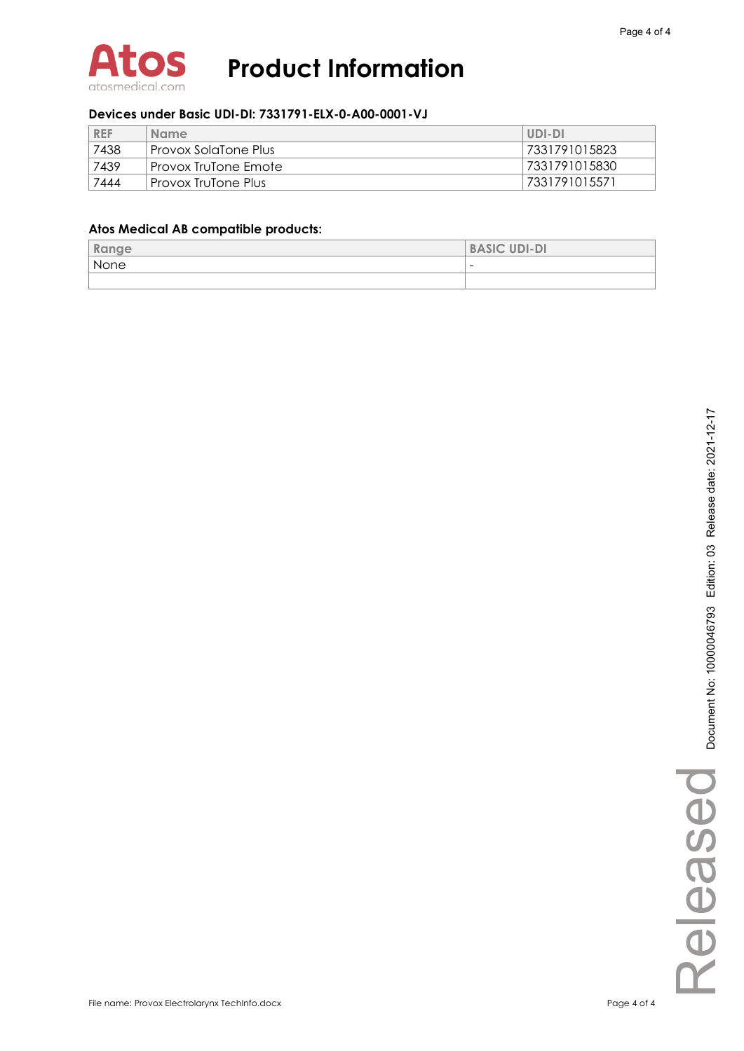

#### **Devices under Basic UDI-DI: 7331791-ELX-0-A00-0001-VJ**

| <b>REF</b> | <b>Name</b>              | UDI-DI        |
|------------|--------------------------|---------------|
| 7438       | ' Provox SolaTone Plus I | 7331791015823 |
| 7439       | ' Provox TruTone Emote   | 7331791015830 |
| 7444       | Provox TruTone Plus      | 7331791015571 |

### **Atos Medical AB compatible products:**

| <b>Dermann</b><br>kange | <b>BASIC UDI-DI</b>      |
|-------------------------|--------------------------|
| None                    | $\overline{\phantom{0}}$ |
|                         |                          |

Released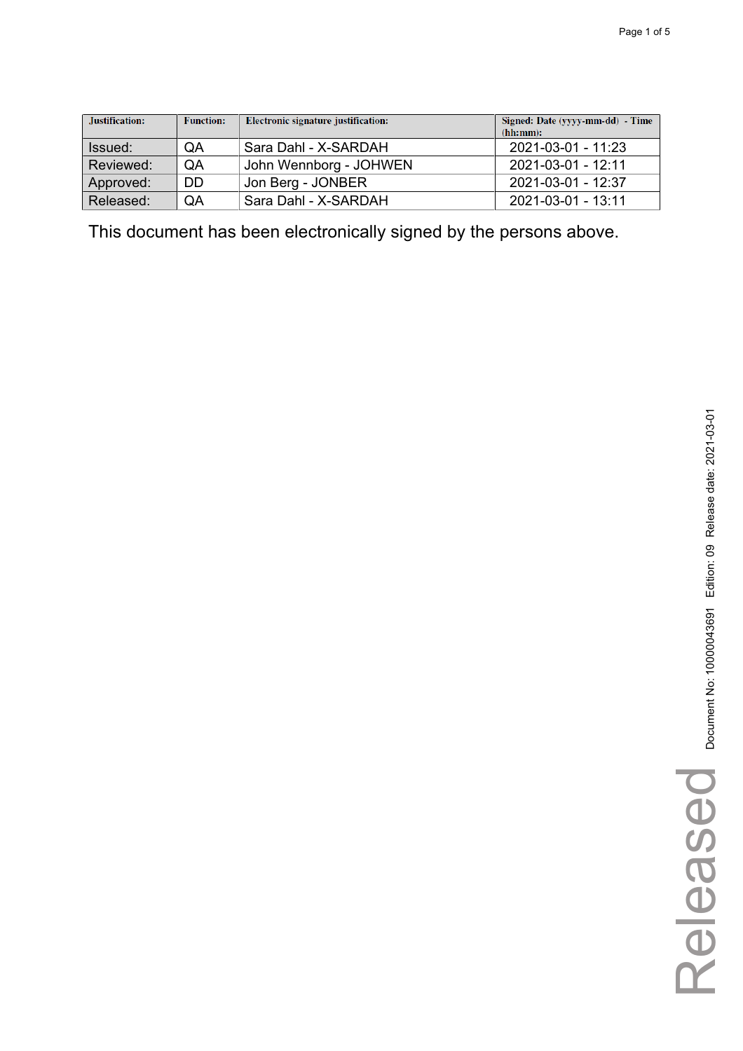| Justification: | <b>Function:</b> | Electronic signature justification: | Signed: Date (yyyy-mm-dd) - Time<br>(hh:mm): |
|----------------|------------------|-------------------------------------|----------------------------------------------|
| Issued:        | QA               | Sara Dahl - X-SARDAH                | 2021-03-01 - 11:23                           |
| Reviewed:      | QA               | John Wennborg - JOHWEN              | 2021-03-01 - 12:11                           |
| Approved:      | DD               | Jon Berg - JONBER                   | 2021-03-01 - 12:37                           |
| Released:      | QA               | Sara Dahl - X-SARDAH                | 2021-03-01 - 13:11                           |

This document has been electronically signed by the persons above.

Released

Released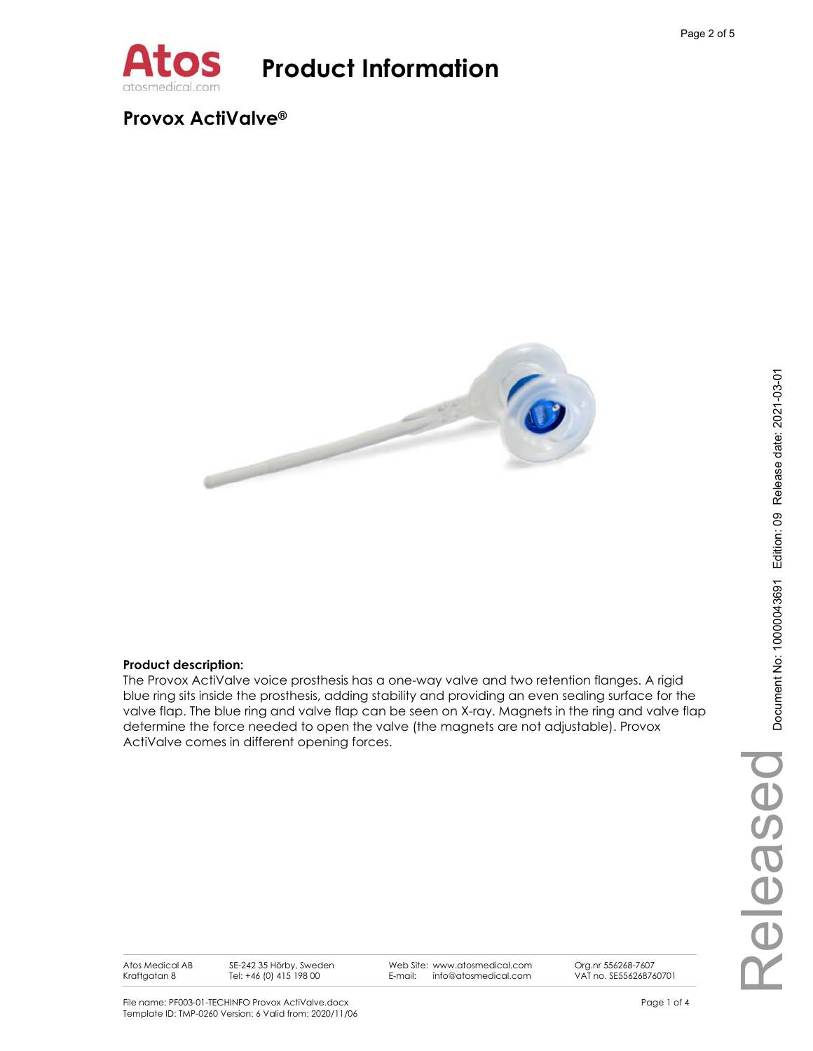

## **Provox ActiValve®**



#### **Product description:**

The Provox ActiValve voice prosthesis has a one-way valve and two retention flanges. A rigid blue ring sits inside the prosthesis, adding stability and providing an even sealing surface for the valve flap. The blue ring and valve flap can be seen on X-ray. Magnets in the ring and valve flap determine the force needed to open the valve (the magnets are not adjustable). Provox ActiValve comes in different opening forces.

Atos Medical AB Kraftgatan 8

SE-242 35 Hörby, Sweden Tel: +46 (0) 415 198 00

Web Site: www.atosmedical.com E-mail: info@atosmedical.com

VAT no. SE556268760701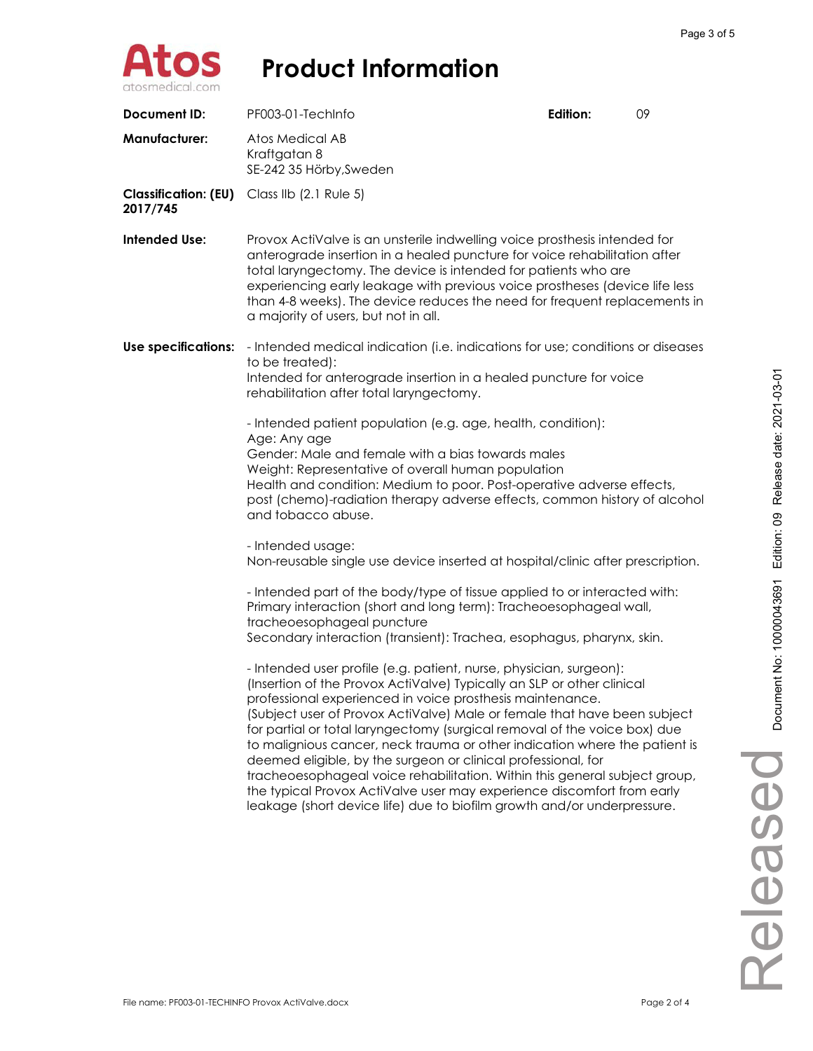

| <b>Document ID:</b>                     | PF003-01-TechInfo                                                                                                                                                                                                                                                                                                                                                                                                                                                                                                                                                                                                                                                                                                                                                                                                                                                                                                                                                                                                                                                                                                                           | Edition: | 09 |
|-----------------------------------------|---------------------------------------------------------------------------------------------------------------------------------------------------------------------------------------------------------------------------------------------------------------------------------------------------------------------------------------------------------------------------------------------------------------------------------------------------------------------------------------------------------------------------------------------------------------------------------------------------------------------------------------------------------------------------------------------------------------------------------------------------------------------------------------------------------------------------------------------------------------------------------------------------------------------------------------------------------------------------------------------------------------------------------------------------------------------------------------------------------------------------------------------|----------|----|
| <b>Manufacturer:</b>                    | Atos Medical AB<br>Kraftgatan 8<br>SE-242 35 Hörby, Sweden                                                                                                                                                                                                                                                                                                                                                                                                                                                                                                                                                                                                                                                                                                                                                                                                                                                                                                                                                                                                                                                                                  |          |    |
| <b>Classification: (EU)</b><br>2017/745 | Class IIb (2.1 Rule 5)                                                                                                                                                                                                                                                                                                                                                                                                                                                                                                                                                                                                                                                                                                                                                                                                                                                                                                                                                                                                                                                                                                                      |          |    |
| <b>Intended Use:</b>                    | Provox ActiValve is an unsterile indwelling voice prosthesis intended for<br>anterograde insertion in a healed puncture for voice rehabilitation after<br>total laryngectomy. The device is intended for patients who are<br>experiencing early leakage with previous voice prostheses (device life less<br>than 4-8 weeks). The device reduces the need for frequent replacements in<br>a majority of users, but not in all.                                                                                                                                                                                                                                                                                                                                                                                                                                                                                                                                                                                                                                                                                                               |          |    |
| <b>Use specifications:</b>              | - Intended medical indication (i.e. indications for use; conditions or diseases<br>to be treated):<br>Intended for anterograde insertion in a healed puncture for voice<br>rehabilitation after total laryngectomy.<br>- Intended patient population (e.g. age, health, condition):<br>Age: Any age<br>Gender: Male and female with a bias towards males<br>Weight: Representative of overall human population<br>Health and condition: Medium to poor. Post-operative adverse effects,<br>post (chemo)-radiation therapy adverse effects, common history of alcohol                                                                                                                                                                                                                                                                                                                                                                                                                                                                                                                                                                        |          |    |
|                                         | and tobacco abuse.<br>- Intended usage:<br>Non-reusable single use device inserted at hospital/clinic after prescription.<br>- Intended part of the body/type of tissue applied to or interacted with:<br>Primary interaction (short and long term): Tracheoesophageal wall,<br>tracheoesophageal puncture<br>Secondary interaction (transient): Trachea, esophagus, pharynx, skin.<br>- Intended user profile (e.g. patient, nurse, physician, surgeon):<br>(Insertion of the Provox ActiValve) Typically an SLP or other clinical<br>professional experienced in voice prosthesis maintenance.<br>(Subject user of Provox ActiValve) Male or female that have been subject<br>for partial or total laryngectomy (surgical removal of the voice box) due<br>to malignious cancer, neck trauma or other indication where the patient is<br>deemed eligible, by the surgeon or clinical professional, for<br>tracheoesophageal voice rehabilitation. Within this general subject group,<br>the typical Provox ActiValve user may experience discomfort from early<br>leakage (short device life) due to biofilm growth and/or underpressure. |          |    |

Released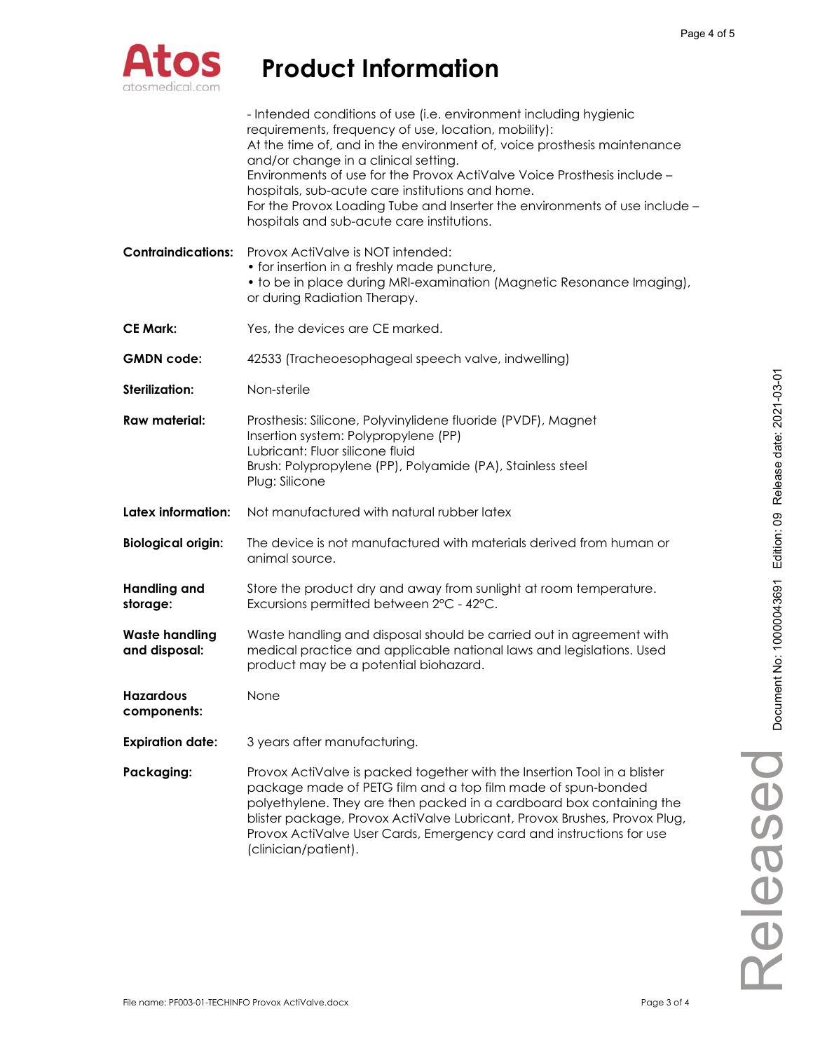

|                                        | - Intended conditions of use (i.e. environment including hygienic<br>requirements, frequency of use, location, mobility):<br>At the time of, and in the environment of, voice prosthesis maintenance<br>and/or change in a clinical setting.<br>Environments of use for the Provox ActiValve Voice Prosthesis include -<br>hospitals, sub-acute care institutions and home.<br>For the Provox Loading Tube and Inserter the environments of use include -<br>hospitals and sub-acute care institutions. |
|----------------------------------------|---------------------------------------------------------------------------------------------------------------------------------------------------------------------------------------------------------------------------------------------------------------------------------------------------------------------------------------------------------------------------------------------------------------------------------------------------------------------------------------------------------|
| <b>Contraindications:</b>              | Provox ActiValve is NOT intended:<br>• for insertion in a freshly made puncture,<br>• to be in place during MRI-examination (Magnetic Resonance Imaging),<br>or during Radiation Therapy.                                                                                                                                                                                                                                                                                                               |
| <b>CE Mark:</b>                        | Yes, the devices are CE marked.                                                                                                                                                                                                                                                                                                                                                                                                                                                                         |
| <b>GMDN</b> code:                      | 42533 (Tracheoesophageal speech valve, indwelling)                                                                                                                                                                                                                                                                                                                                                                                                                                                      |
| Sterilization:                         | Non-sterile                                                                                                                                                                                                                                                                                                                                                                                                                                                                                             |
| Raw material:                          | Prosthesis: Silicone, Polyvinylidene fluoride (PVDF), Magnet<br>Insertion system: Polypropylene (PP)<br>Lubricant: Fluor silicone fluid<br>Brush: Polypropylene (PP), Polyamide (PA), Stainless steel<br>Plug: Silicone                                                                                                                                                                                                                                                                                 |
| Latex information:                     | Not manufactured with natural rubber latex                                                                                                                                                                                                                                                                                                                                                                                                                                                              |
| <b>Biological origin:</b>              | The device is not manufactured with materials derived from human or<br>animal source.                                                                                                                                                                                                                                                                                                                                                                                                                   |
| <b>Handling and</b><br>storage:        | Store the product dry and away from sunlight at room temperature.<br>Excursions permitted between 2°C - 42°C.                                                                                                                                                                                                                                                                                                                                                                                           |
| <b>Waste handling</b><br>and disposal: | Waste handling and disposal should be carried out in agreement with<br>medical practice and applicable national laws and legislations. Used<br>product may be a potential biohazard.                                                                                                                                                                                                                                                                                                                    |
| <b>Hazardous</b><br>components:        | None                                                                                                                                                                                                                                                                                                                                                                                                                                                                                                    |
| <b>Expiration date:</b>                | 3 years after manufacturing.                                                                                                                                                                                                                                                                                                                                                                                                                                                                            |
| Packaging:                             | Provox ActiValve is packed together with the Insertion Tool in a blister<br>package made of PETG film and a top film made of spun-bonded<br>polyethylene. They are then packed in a cardboard box containing the<br>blister package, Provox ActiValve Lubricant, Provox Brushes, Provox Plug,<br>Provox ActiValve User Cards, Emergency card and instructions for use<br>(clinician/patient).                                                                                                           |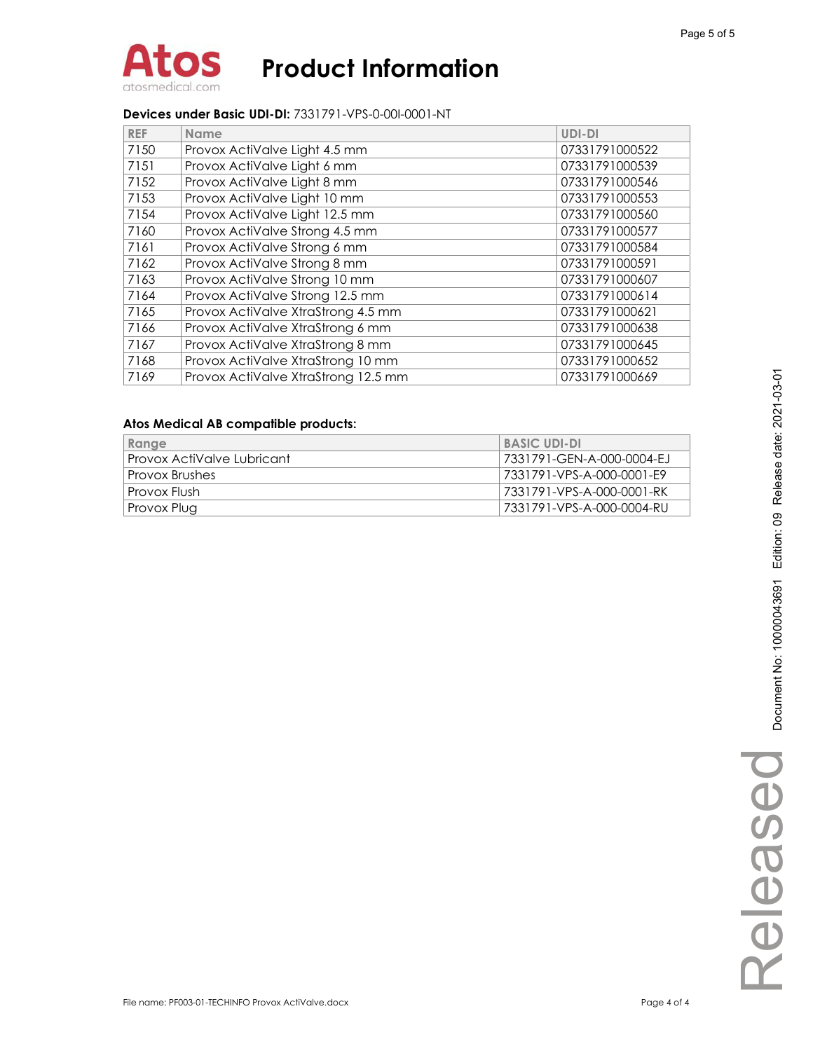

#### **Devices under Basic UDI-DI:** 7331791-VPS-0-00I-0001-NT

| <b>REF</b> | <b>Name</b>                         | UDI-DI         |
|------------|-------------------------------------|----------------|
| 7150       | Provox ActiValve Light 4.5 mm       | 07331791000522 |
| 7151       | Provox ActiValve Light 6 mm         | 07331791000539 |
| 7152       | Provox ActiValve Light 8 mm         | 07331791000546 |
| 7153       | Provox ActiValve Light 10 mm        | 07331791000553 |
| 7154       | Provox ActiValve Light 12.5 mm      | 07331791000560 |
| 7160       | Provox ActiValve Strong 4.5 mm      | 07331791000577 |
| 7161       | Provox ActiValve Strong 6 mm        | 07331791000584 |
| 7162       | Provox ActiValve Strong 8 mm        | 07331791000591 |
| 7163       | Provox ActiValve Strong 10 mm       | 07331791000607 |
| 7164       | Provox ActiValve Strong 12.5 mm     | 07331791000614 |
| 7165       | Provox ActiValve XtraStrong 4.5 mm  | 07331791000621 |
| 7166       | Provox ActiValve XtraStrong 6 mm    | 07331791000638 |
| 7167       | Provox ActiValve XtraStrong 8 mm    | 07331791000645 |
| 7168       | Provox ActiValve XtraStrong 10 mm   | 07331791000652 |
| 7169       | Provox ActiValve XtraStrong 12.5 mm | 07331791000669 |

#### **Atos Medical AB compatible products:**

| Range                      | <b>BASIC UDI-DI</b>       |
|----------------------------|---------------------------|
| Provox ActiValve Lubricant | 7331791-GEN-A-000-0004-EJ |
| Provox Brushes             | 7331791-VPS-A-000-0001-E9 |
| Provox Flush               | 7331791-VPS-A-000-0001-RK |
| Provox Plug                | 7331791-VPS-A-000-0004-RU |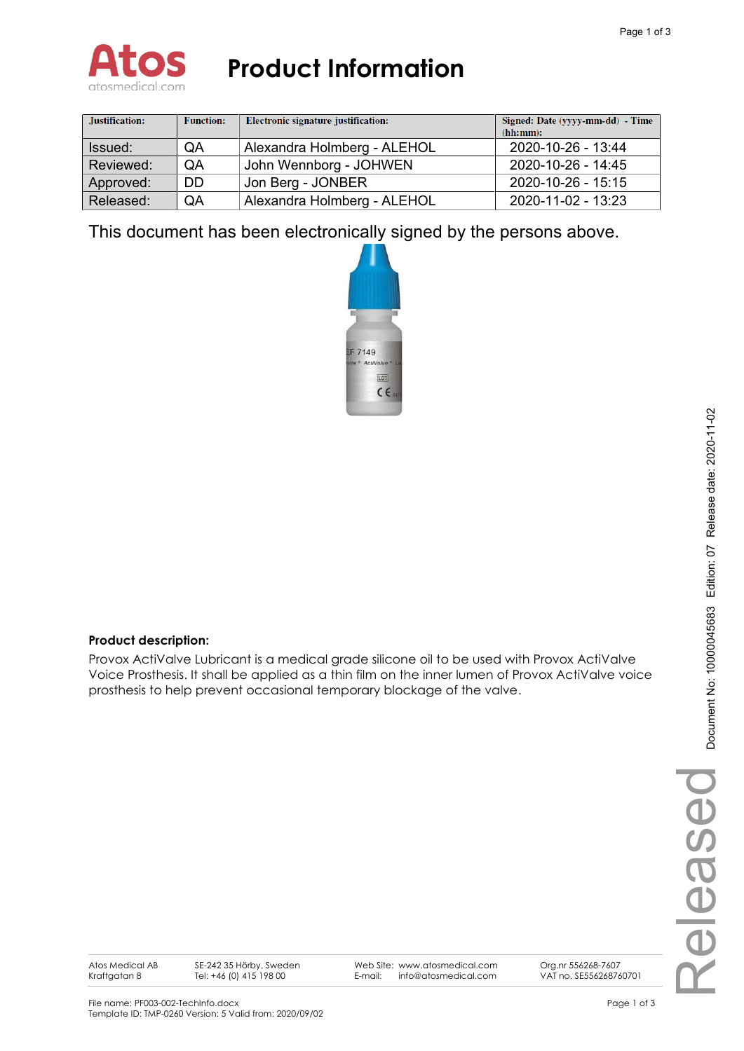

| Justification: | <b>Function:</b> | Electronic signature justification: | Signed: Date (yyyy-mm-dd) - Time<br>(hh:mm): |
|----------------|------------------|-------------------------------------|----------------------------------------------|
| Issued:        | QA               | Alexandra Holmberg - ALEHOL         | 2020-10-26 - 13:44                           |
| Reviewed:      | QA               | John Wennborg - JOHWEN              | 2020-10-26 - 14:45                           |
| Approved:      | <b>DD</b>        | Jon Berg - JONBER                   | 2020-10-26 - 15:15                           |
| Released:      | QA               | Alexandra Holmberg - ALEHOL         | 2020-11-02 - 13:23                           |

This document has been electronically signed by the persons above.



## **Product description:**

Provox ActiValve Lubricant is a medical grade silicone oil to be used with Provox ActiValve Voice Prosthesis. It shall be applied as a thin film on the inner lumen of Provox ActiValve voice prosthesis to help prevent occasional temporary blockage of the valve.

Atos Medical AB Kraftgatan 8

SE-242 35 Hörby, Sweden Tel: +46 (0) 415 198 00

Web Site: www.atosmedical.com E-mail: info@atosmedical.com

Org.nr 556268-7607 VAT no. SE556268760701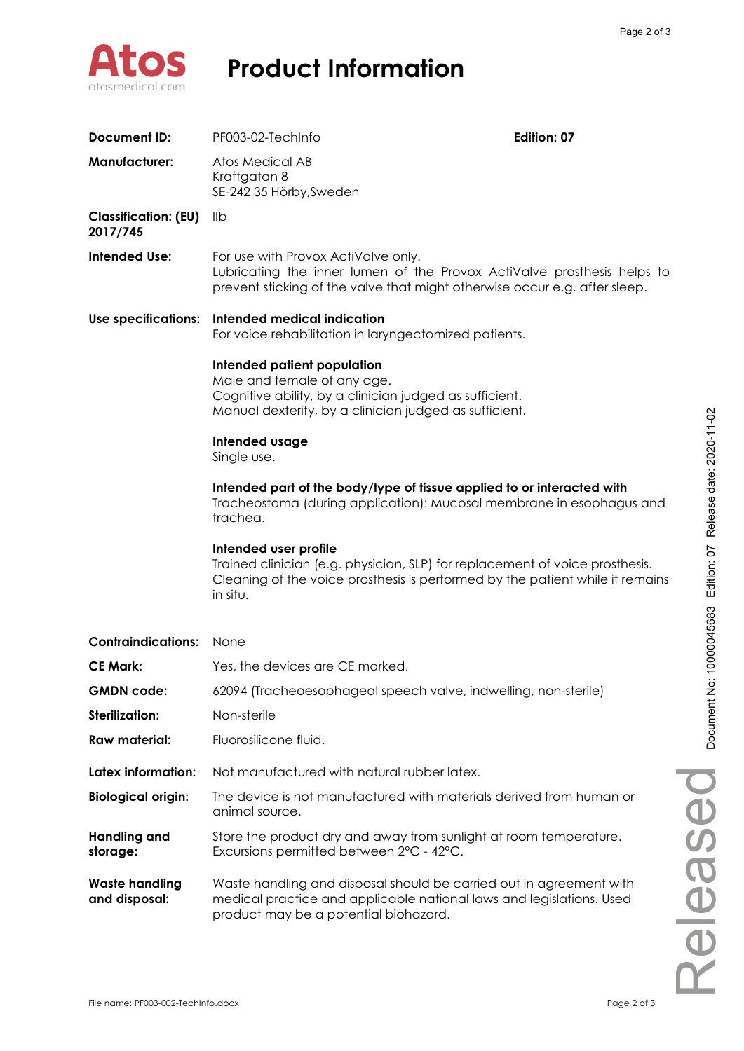

| Document ID:                            | PF003-02-TechInfo                                                                                                                                                                                  | Edition: 07 |
|-----------------------------------------|----------------------------------------------------------------------------------------------------------------------------------------------------------------------------------------------------|-------------|
| <b>Manufacturer:</b>                    | Atos Medical AB<br>Kraftgatan 8<br>SE-242 35 Hörby, Sweden                                                                                                                                         |             |
| <b>Classification: (EU)</b><br>2017/745 | llb                                                                                                                                                                                                |             |
| <b>Intended Use:</b>                    | For use with Provox ActiValve only.<br>Lubricating the inner lumen of the Provox ActiValve prosthesis helps to<br>prevent sticking of the valve that might otherwise occure.g. after sleep.        |             |
| Use specifications:                     | Intended medical indication<br>For voice rehabilitation in laryngectomized patients.                                                                                                               |             |
|                                         | Intended patient population<br>Male and female of any age.<br>Cognitive ability, by a clinician judged as sufficient.<br>Manual dexterity, by a clinician judged as sufficient.                    |             |
|                                         | Intended usage<br>Single use.                                                                                                                                                                      |             |
|                                         | Intended part of the body/type of tissue applied to or interacted with<br>Tracheostoma (during application): Mucosal membrane in esophagus and<br>trachea.                                         |             |
|                                         | Intended user profile<br>Trained clinician (e.g. physician, SLP) for replacement of voice prosthesis.<br>Cleaning of the voice prosthesis is performed by the patient while it remains<br>in situ. |             |
| <b>Contraindications:</b>               | None                                                                                                                                                                                               |             |
| <b>CE Mark:</b>                         | Yes, the devices are CE marked.                                                                                                                                                                    |             |
| <b>GMDN code:</b>                       | 62094 (Tracheoesophageal speech valve, indwelling, non-sterile)                                                                                                                                    |             |
| <b>Sterilization:</b>                   | Non-sterile                                                                                                                                                                                        |             |
| <b>Raw material:</b>                    | Fluorosilicone fluid.                                                                                                                                                                              |             |
| Latex information:                      | Not manufactured with natural rubber latex.                                                                                                                                                        |             |
| <b>Biological origin:</b>               | The device is not manufactured with materials derived from human or<br>animal source.                                                                                                              |             |
| <b>Handling and</b><br>storage:         | Store the product dry and away from sunlight at room temperature.<br>Excursions permitted between 2°C - 42°C.                                                                                      |             |
| <b>Waste handling</b><br>and disposal:  | Waste handling and disposal should be carried out in agreement with<br>medical practice and applicable national laws and legislations. Used<br>product may be a potential biohazard.               |             |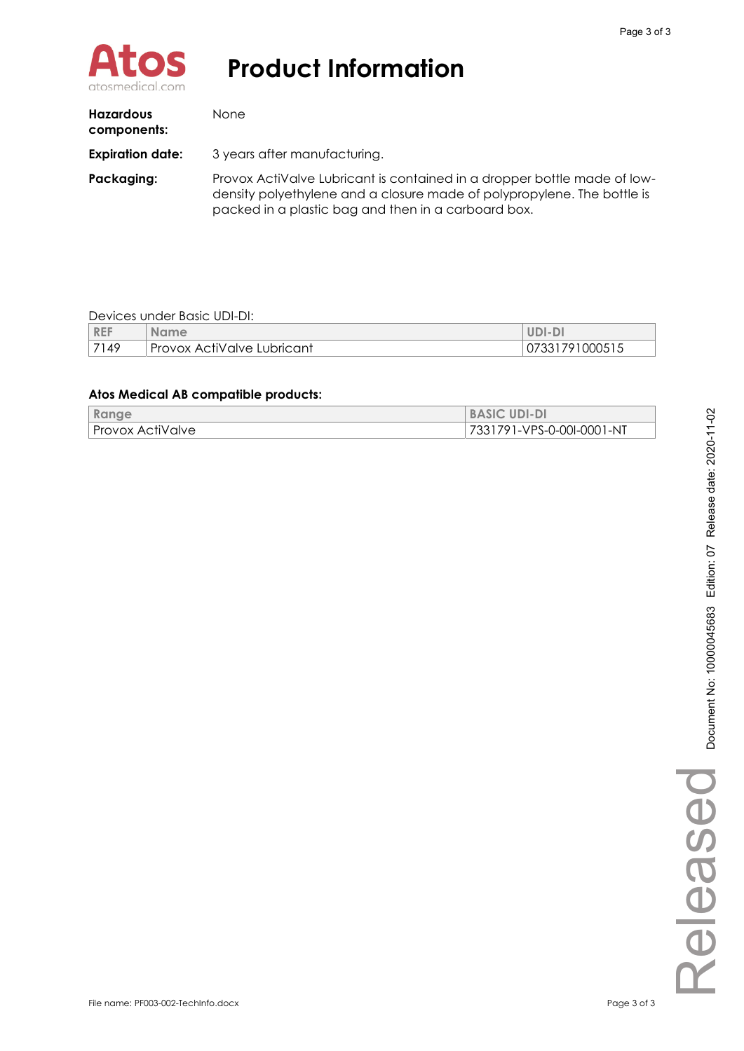

| <b>Hazardous</b><br>components: | <b>None</b>                                                                                                                                                                                                |  |
|---------------------------------|------------------------------------------------------------------------------------------------------------------------------------------------------------------------------------------------------------|--|
| <b>Expiration date:</b>         | 3 years after manufacturing.                                                                                                                                                                               |  |
| Packaging:                      | Provox ActiValve Lubricant is contained in a dropper bottle made of low-<br>density polyethylene and a closure made of polypropylene. The bottle is<br>packed in a plastic bag and then in a carboard box. |  |

#### Devices under Basic UDI-DI:

| <b>REF</b> | <b>Name</b>                | UDI-DI         |
|------------|----------------------------|----------------|
| 7149       | Provox ActiValve Lubricant | 07331791000515 |

### **Atos Medical AB compatible products:**

| Range            | <b>BASIC UDI-DI</b>       |
|------------------|---------------------------|
| Provox ActiValve | 7331791-VPS-0-00I-0001-NT |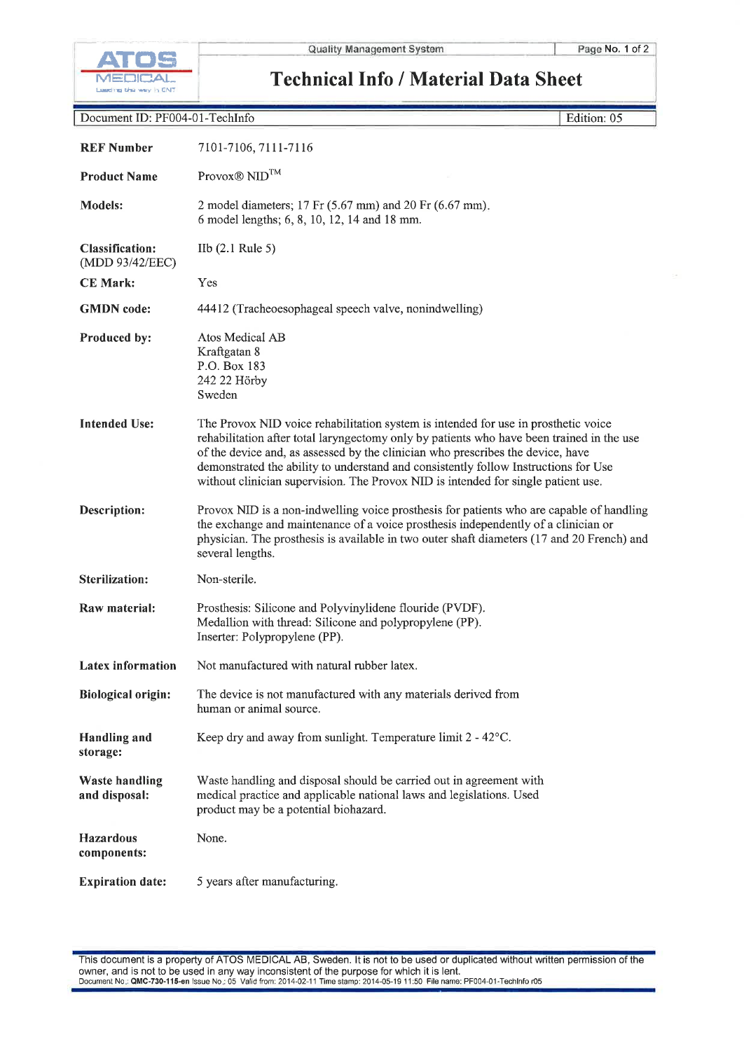

Edition: 05

**Technical Info / Material Data Sheet** 

| Document ID: PF004-01-TechInfo |
|--------------------------------|
|--------------------------------|

| <b>REF Number</b>                         | 7101-7106, 7111-7116                                                                                                                                                                                                                                                                                                                                                                                                                           |
|-------------------------------------------|------------------------------------------------------------------------------------------------------------------------------------------------------------------------------------------------------------------------------------------------------------------------------------------------------------------------------------------------------------------------------------------------------------------------------------------------|
| <b>Product Name</b>                       | Provox <sup>®</sup> NID <sup>™</sup>                                                                                                                                                                                                                                                                                                                                                                                                           |
| <b>Models:</b>                            | 2 model diameters; $17$ Fr (5.67 mm) and $20$ Fr (6.67 mm).<br>6 model lengths; 6, 8, 10, 12, 14 and 18 mm.                                                                                                                                                                                                                                                                                                                                    |
| <b>Classification:</b><br>(MDD 93/42/EEC) | IIb $(2.1 \text{ Rule } 5)$                                                                                                                                                                                                                                                                                                                                                                                                                    |
| <b>CE Mark:</b>                           | Yes                                                                                                                                                                                                                                                                                                                                                                                                                                            |
| <b>GMDN</b> code:                         | 44412 (Tracheoesophageal speech valve, nonindwelling)                                                                                                                                                                                                                                                                                                                                                                                          |
| Produced by:                              | Atos Medical AB<br>Kraftgatan 8<br>P.O. Box 183<br>242 22 Hörby<br>Sweden                                                                                                                                                                                                                                                                                                                                                                      |
| <b>Intended Use:</b>                      | The Provox NID voice rehabilitation system is intended for use in prosthetic voice<br>rehabilitation after total laryngectomy only by patients who have been trained in the use<br>of the device and, as assessed by the clinician who prescribes the device, have<br>demonstrated the ability to understand and consistently follow Instructions for Use<br>without clinician supervision. The Provox NID is intended for single patient use. |
| Description:                              | Provox NID is a non-indwelling voice prosthesis for patients who are capable of handling<br>the exchange and maintenance of a voice prosthesis independently of a clinician or<br>physician. The prosthesis is available in two outer shaft diameters (17 and 20 French) and<br>several lengths.                                                                                                                                               |
| <b>Sterilization:</b>                     | Non-sterile.                                                                                                                                                                                                                                                                                                                                                                                                                                   |
| Raw material:                             | Prosthesis: Silicone and Polyvinylidene flouride (PVDF).<br>Medallion with thread: Silicone and polypropylene (PP).<br>Inserter: Polypropylene (PP).                                                                                                                                                                                                                                                                                           |
| <b>Latex information</b>                  | Not manufactured with natural rubber latex.                                                                                                                                                                                                                                                                                                                                                                                                    |
| <b>Biological origin:</b>                 | The device is not manufactured with any materials derived from<br>human or animal source.                                                                                                                                                                                                                                                                                                                                                      |
| <b>Handling and</b><br>storage:           | Keep dry and away from sunlight. Temperature limit $2 - 42^{\circ}$ C.                                                                                                                                                                                                                                                                                                                                                                         |
| <b>Waste handling</b><br>and disposal:    | Waste handling and disposal should be carried out in agreement with<br>medical practice and applicable national laws and legislations. Used<br>product may be a potential biohazard.                                                                                                                                                                                                                                                           |
| <b>Hazardous</b><br>components:           | None.                                                                                                                                                                                                                                                                                                                                                                                                                                          |
| <b>Expiration date:</b>                   | 5 years after manufacturing.                                                                                                                                                                                                                                                                                                                                                                                                                   |

This document is a property of ATOS MEDICAL AB, Sweden. It is not to be used or duplicated without written permission of the owner, and is not to be used in any way inconsistent of the purpose for which it is lent.<br>Document No.: QMC-730-115-en Issue No.: 05 Valid from: 2014-02-11 Time stamp: 2014-05-19 11:50 File name: PF004-01-TechInfo r05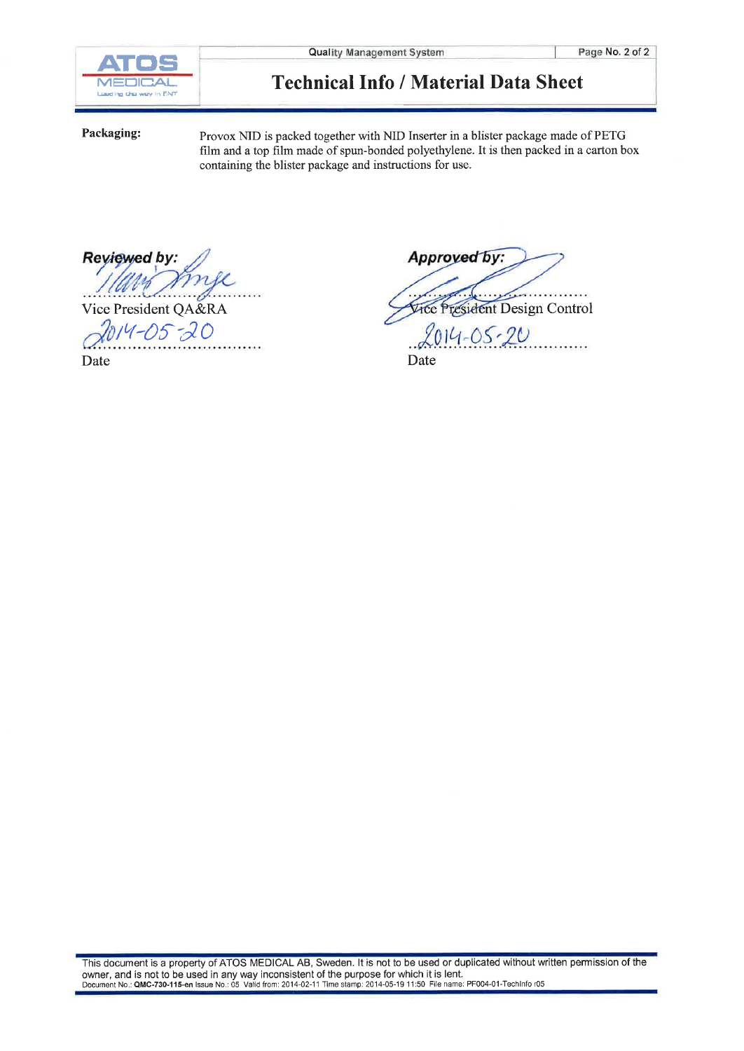

## **Technical Info / Material Data Sheet**

Packaging:

Provox NID is packed together with NID Inserter in a blister package made of PETG film and a top film made of spun-bonded polyethylene. It is then packed in a carton box containing the blister package and instructions for use.

Reviewed by:

. . . . .

Vice President QA&RA

2014-05-20

Date

Approved by: forman Vice President Design Control  $2014 - 05 - 20$ Date

This document is a property of ATOS MEDICAL AB, Sweden. It is not to be used or duplicated without written permission of the owner, and is not to be used in any way inconsistent of the purpose for which it is lent.<br>Document No.: QMC-730-115-en Issue No.: 05 Valid from: 2014-02-11 Time stamp: 2014-05-19 11:50 File name: PF004-01-TechInfor05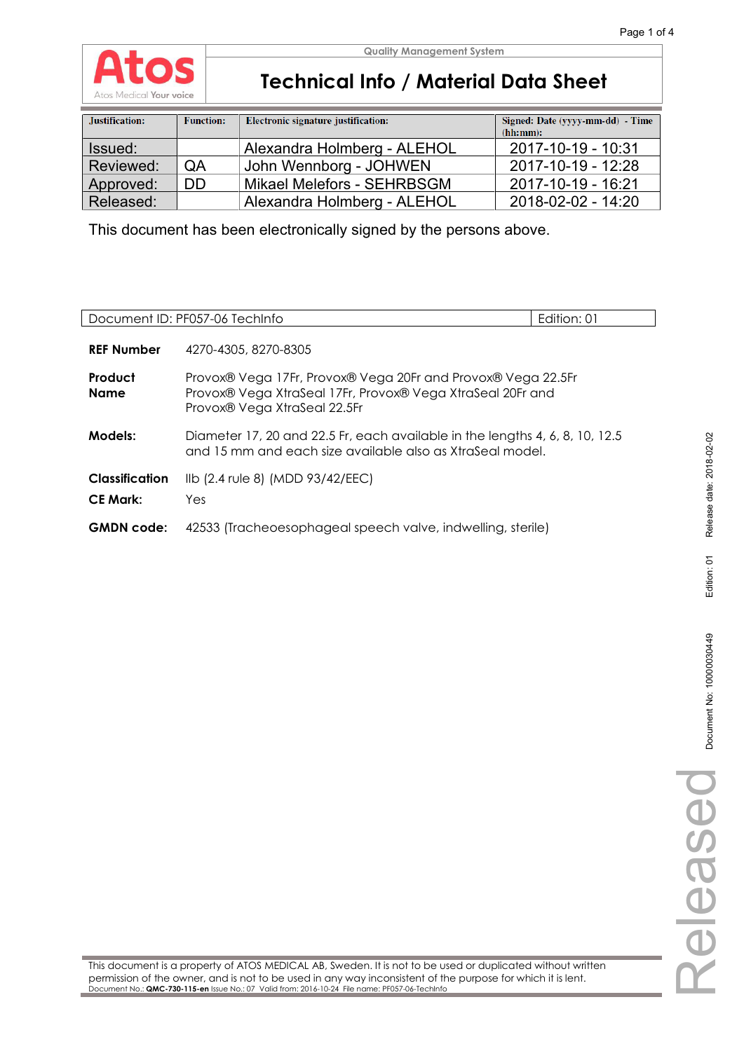

 $\overline{\phantom{a}}$ 

# **Technical Info / Material Data Sheet**

| Justification: | <b>Function:</b> | Electronic signature justification: | Signed: Date (yyyy-mm-dd) - Time<br>(hh:mm): |
|----------------|------------------|-------------------------------------|----------------------------------------------|
| Issued:        |                  | Alexandra Holmberg - ALEHOL         | 2017-10-19 - 10:31                           |
| Reviewed:      | QA               | John Wennborg - JOHWEN              | 2017-10-19 - 12:28                           |
| Approved:      | DD.              | Mikael Melefors - SEHRBSGM          | 2017-10-19 - 16:21                           |
| Released:      |                  | Alexandra Holmberg - ALEHOL         | 2018-02-02 - 14:20                           |

This document has been electronically signed by the persons above.

|                                          | Document ID: PF057-06 TechInfo                                                                                                                             | Edition: 01 |
|------------------------------------------|------------------------------------------------------------------------------------------------------------------------------------------------------------|-------------|
| <b>REF Number</b>                        | 4270-4305, 8270-8305                                                                                                                                       |             |
| Product<br><b>Name</b>                   | Provox® Vega 17Fr, Provox® Vega 20Fr and Provox® Vega 22.5Fr<br>Provox® Vega XtraSeal 17Fr, Provox® Vega XtraSeal 20Fr and<br>Provox® Vega XtraSeal 22.5Fr |             |
| Models:                                  | Diameter 17, 20 and 22.5 Fr, each available in the lengths 4, 6, 8, 10, 12.5<br>and 15 mm and each size available also as XtraSeal model.                  |             |
| <b>Classification</b><br><b>CE Mark:</b> | Ilb (2.4 rule 8) (MDD 93/42/EEC)<br>Yes                                                                                                                    |             |
| <b>GMDN</b> code:                        | 42533 (Tracheoesophageal speech valve, indwelling, sterile)                                                                                                |             |

This document is a property of ATOS MEDICAL AB, Sweden. It is not to be used or duplicated without written permission of the owner, and is not to be used in any way inconsistent of the purpose for which it is lent. Document No.: **QMC-730-115-en** Issue No.: 07 Valid from: 2016-10-24 File name: PF057-06-TechInfo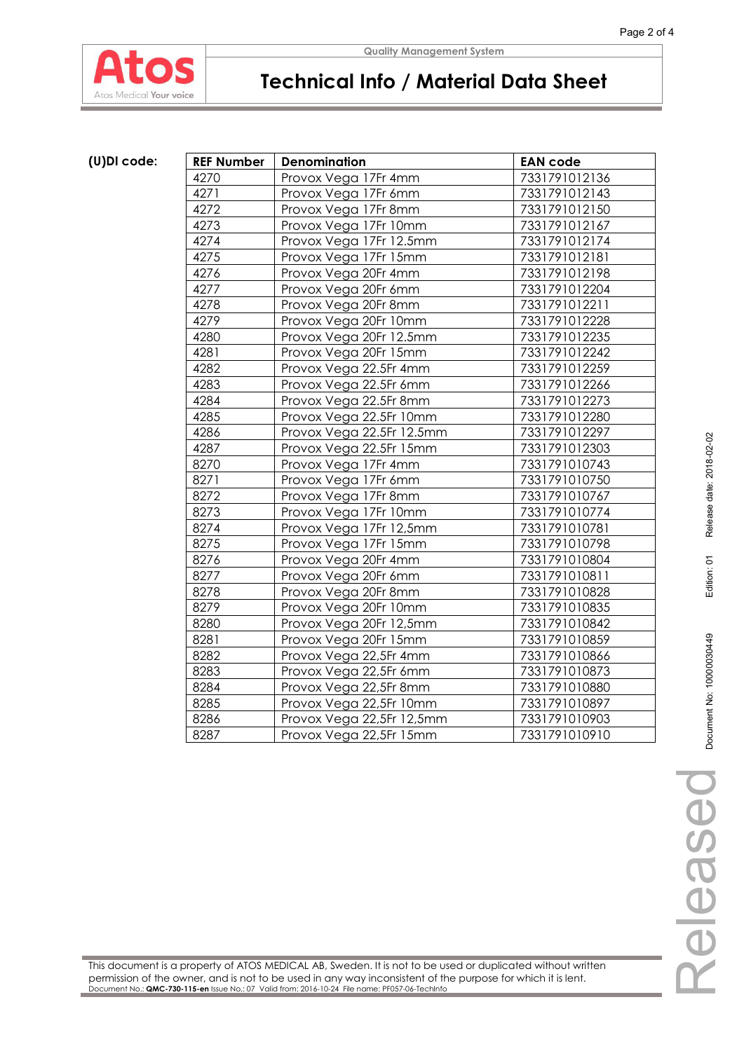

# **Technical Info / Material Data Sheet**

## (U)DI code:

| <b>REF Number</b> | <b>Denomination</b>       | <b>EAN code</b> |
|-------------------|---------------------------|-----------------|
| 4270              | Provox Vega 17Fr 4mm      | 7331791012136   |
| 4271              | Provox Vega 17Fr 6mm      | 7331791012143   |
| 4272              | Provox Vega 17Fr 8mm      | 7331791012150   |
| 4273              | Provox Vega 17Fr 10mm     | 7331791012167   |
| 4274              | Provox Vega 17Fr 12.5mm   | 7331791012174   |
| 4275              | Provox Vega 17Fr 15mm     | 7331791012181   |
| 4276              | Provox Vega 20Fr 4mm      | 7331791012198   |
| 4277              | Provox Vega 20Fr 6mm      | 7331791012204   |
| 4278              | Provox Vega 20Fr 8mm      | 7331791012211   |
| 4279              | Provox Vega 20Fr 10mm     | 7331791012228   |
| 4280              | Provox Vega 20Fr 12.5mm   | 7331791012235   |
| 4281              | Provox Vega 20Fr 15mm     | 7331791012242   |
| 4282              | Provox Vega 22.5Fr 4mm    | 7331791012259   |
| 4283              | Provox Vega 22.5Fr 6mm    | 7331791012266   |
| 4284              | Provox Vega 22.5Fr 8mm    | 7331791012273   |
| 4285              | Provox Vega 22.5Fr 10mm   | 7331791012280   |
| 4286              | Provox Vega 22.5Fr 12.5mm | 7331791012297   |
| 4287              | Provox Vega 22.5Fr 15mm   | 7331791012303   |
| 8270              | Provox Vega 17Fr 4mm      | 7331791010743   |
| 8271              | Provox Vega 17Fr 6mm      | 7331791010750   |
| 8272              | Provox Vega 17Fr 8mm      | 7331791010767   |
| 8273              | Provox Vega 17Fr 10mm     | 7331791010774   |
| 8274              | Provox Vega 17Fr 12,5mm   | 7331791010781   |
| 8275              | Provox Vega 17Fr 15mm     | 7331791010798   |
| 8276              | Provox Vega 20Fr 4mm      | 7331791010804   |
| 8277              | Provox Vega 20Fr 6mm      | 7331791010811   |
| 8278              | Provox Vega 20Fr 8mm      | 7331791010828   |
| 8279              | Provox Vega 20Fr 10mm     | 7331791010835   |
| 8280              | Provox Vega 20Fr 12,5mm   | 7331791010842   |
| 8281              | Provox Vega 20Fr 15mm     | 7331791010859   |
| 8282              | Provox Vega 22,5Fr 4mm    | 7331791010866   |
| 8283              | Provox Vega 22,5Fr 6mm    | 7331791010873   |
| 8284              | Provox Vega 22,5Fr 8mm    | 7331791010880   |
| 8285              | Provox Vega 22,5Fr 10mm   | 7331791010897   |
| 8286              | Provox Vega 22,5Fr 12,5mm | 7331791010903   |
| 8287              | Provox Vega 22,5Fr 15mm   | 7331791010910   |

This document is a property of ATOS MEDICAL AB, Sweden. It is not to be used or duplicated without written permission of the owner, and is not to be used in any way inconsistent of the purpose for which it is lent. Document No.: **QMC-730-115-en** Issue No.: 07 Valid from: 2016-10-24 File name: PF057-06-TechInfo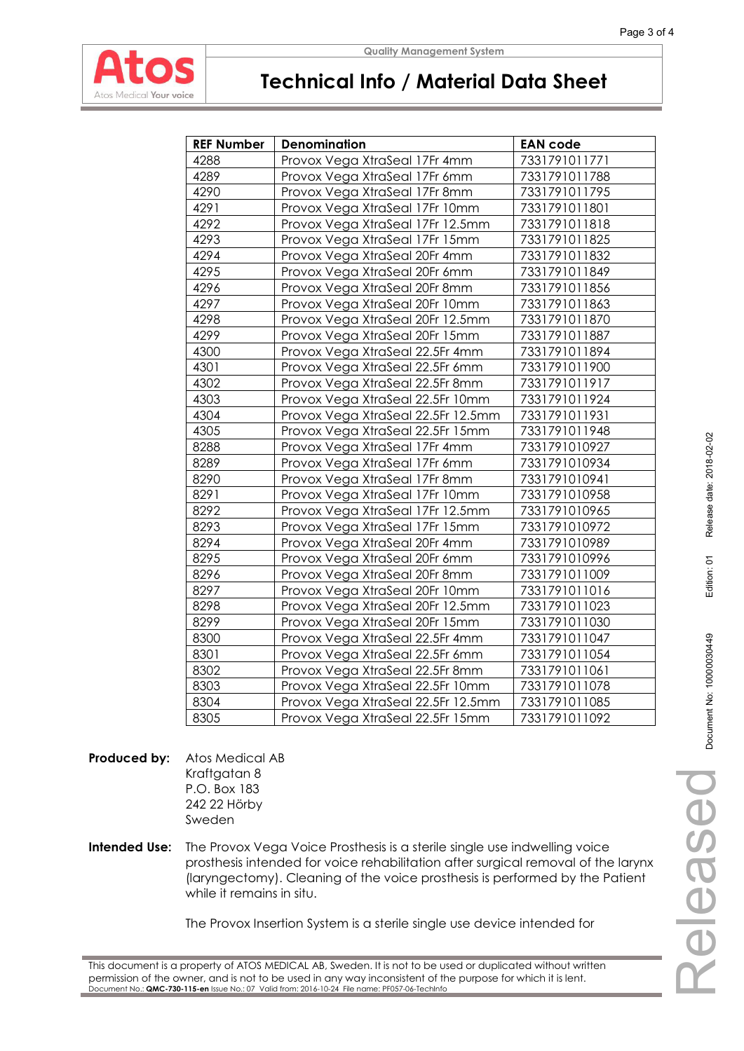

#### **Quality Management System**

## **Technical Info / Material Data Sheet**

| <b>REF Number</b> | <b>Denomination</b>                | <b>EAN code</b> |
|-------------------|------------------------------------|-----------------|
| 4288              | Provox Vega XtraSeal 17Fr 4mm      | 7331791011771   |
| 4289              | Provox Vega XtraSeal 17Fr 6mm      | 7331791011788   |
| 4290              | Provox Vega XtraSeal 17Fr 8mm      | 7331791011795   |
| 4291              | Provox Vega XtraSeal 17Fr 10mm     | 7331791011801   |
| 4292              | Provox Vega XtraSeal 17Fr 12.5mm   | 7331791011818   |
| 4293              | Provox Vega XtraSeal 17Fr 15mm     | 7331791011825   |
| 4294              | Provox Vega XtraSeal 20Fr 4mm      | 7331791011832   |
| 4295              | Provox Vega XtraSeal 20Fr 6mm      | 7331791011849   |
| 4296              | Provox Vega XtraSeal 20Fr 8mm      | 7331791011856   |
| 4297              | Provox Vega XtraSeal 20Fr 10mm     | 7331791011863   |
| 4298              | Provox Vega XtraSeal 20Fr 12.5mm   | 7331791011870   |
| 4299              | Provox Vega XtraSeal 20Fr 15mm     | 7331791011887   |
| 4300              | Provox Vega XtraSeal 22.5Fr 4mm    | 7331791011894   |
| 4301              | Provox Vega XtraSeal 22.5Fr 6mm    | 7331791011900   |
| 4302              | Provox Vega XtraSeal 22.5Fr 8mm    | 7331791011917   |
| 4303              | Provox Vega XtraSeal 22.5Fr 10mm   | 7331791011924   |
| 4304              | Provox Vega XtraSeal 22.5Fr 12.5mm | 7331791011931   |
| 4305              | Provox Vega XtraSeal 22.5Fr 15mm   | 7331791011948   |
| 8288              | Provox Vega XtraSeal 17Fr 4mm      | 7331791010927   |
| 8289              | Provox Vega XtraSeal 17Fr 6mm      | 7331791010934   |
| 8290              | Provox Vega XtraSeal 17Fr 8mm      | 7331791010941   |
| 8291              | Provox Vega XtraSeal 17Fr 10mm     | 7331791010958   |
| 8292              | Provox Vega XtraSeal 17Fr 12.5mm   | 7331791010965   |
| 8293              | Provox Vega XtraSeal 17Fr 15mm     | 7331791010972   |
| 8294              | Provox Vega XtraSeal 20Fr 4mm      | 7331791010989   |
| 8295              | Provox Vega XtraSeal 20Fr 6mm      | 7331791010996   |
| 8296              | Provox Vega XtraSeal 20Fr 8mm      | 7331791011009   |
| 8297              | Provox Vega XtraSeal 20Fr 10mm     | 7331791011016   |
| 8298              | Provox Vega XtraSeal 20Fr 12.5mm   | 7331791011023   |
| 8299              | Provox Vega XtraSeal 20Fr 15mm     | 7331791011030   |
| 8300              | Provox Vega XtraSeal 22.5Fr 4mm    | 7331791011047   |
| 8301              | Provox Vega XtraSeal 22.5Fr 6mm    | 7331791011054   |
| 8302              | Provox Vega XtraSeal 22.5Fr 8mm    | 7331791011061   |
| 8303              | Provox Vega XtraSeal 22.5Fr 10mm   | 7331791011078   |
| 8304              | Provox Vega XtraSeal 22.5Fr 12.5mm | 7331791011085   |
| 8305              | Provox Vega XtraSeal 22.5Fr 15mm   | 7331791011092   |

**Produced by:** Atos Medical AB Kraftgatan 8 P.O. Box 183 242 22 Hörby Sweden

**Intended Use:** The Provox Vega Voice Prosthesis is a sterile single use indwelling voice prosthesis intended for voice rehabilitation after surgical removal of the larynx (laryngectomy). Cleaning of the voice prosthesis is performed by the Patient while it remains in situ.

The Provox Insertion System is a sterile single use device intended for

This document is a property of ATOS MEDICAL AB, Sweden. It is not to be used or duplicated without written permission of the owner, and is not to be used in any way inconsistent of the purpose for which it is lent. Document No.: **QMC-730-115-en** Issue No.: 07 Valid from: 2016-10-24 File name: PF057-06-TechInfo

Released

Released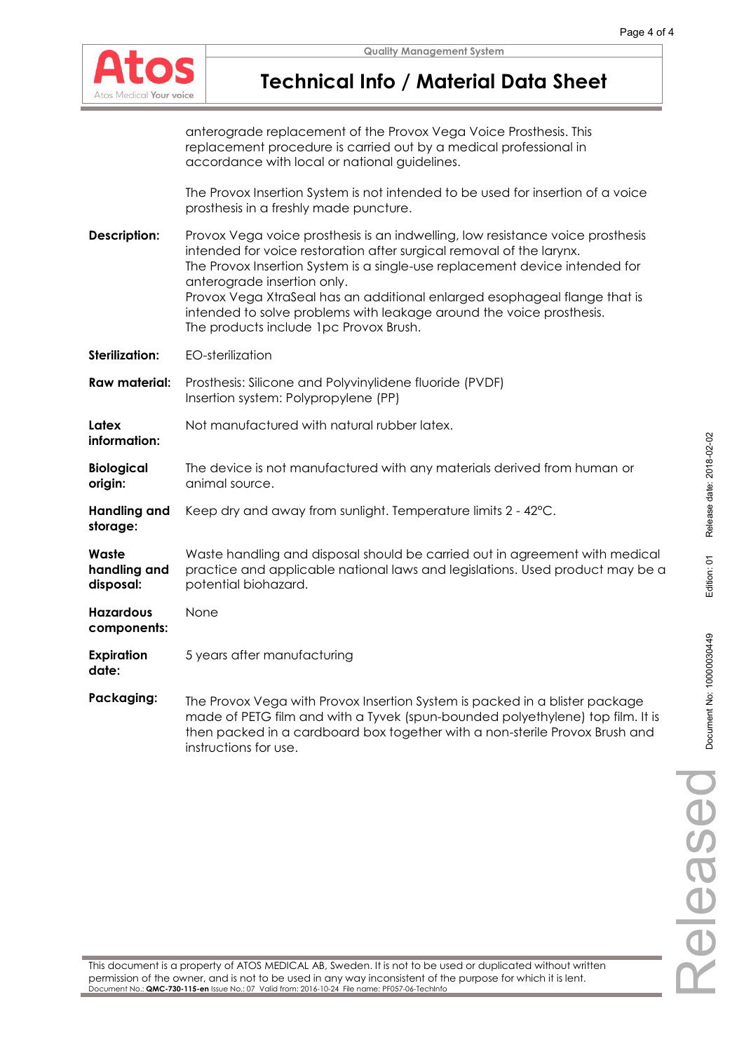

## **Technical Info / Material Data Sheet**

anterograde replacement of the Provox Vega Voice Prosthesis. This replacement procedure is carried out by a medical professional in accordance with local or national guidelines.

The Provox Insertion System is not intended to be used for insertion of a voice prosthesis in a freshly made puncture.

**Description:** Provox Vega voice prosthesis is an indwelling, low resistance voice prosthesis intended for voice restoration after surgical removal of the larynx. The Provox Insertion System is a single-use replacement device intended for anterograde insertion only. Provox Vega XtraSeal has an additional enlarged esophageal flange that is intended to solve problems with leakage around the voice prosthesis. The products include 1pc Provox Brush. **Sterilization:** EO-sterilization

**Raw material:** Prosthesis: Silicone and Polyvinylidene fluoride (PVDF) Insertion system: Polypropylene (PP)

**Latex information:**  Not manufactured with natural rubber latex.

- **Biological origin:**  The device is not manufactured with any materials derived from human or animal source.
- **Handling and storage:**  Keep dry and away from sunlight. Temperature limits 2 - 42°C.

**Waste handling and disposal:**  Waste handling and disposal should be carried out in agreement with medical practice and applicable national laws and legislations. Used product may be a potential biohazard.

**Hazardous components:**  None

**date:** 

**Expiration**  5 years after manufacturing

**Packaging:** The Provox Vega with Provox Insertion System is packed in a blister package made of PETG film and with a Tyvek (spun-bounded polyethylene) top film. It is then packed in a cardboard box together with a non-sterile Provox Brush and instructions for use.

This document is a property of ATOS MEDICAL AB, Sweden. It is not to be used or duplicated without written permission of the owner, and is not to be used in any way inconsistent of the purpose for which it is lent. Document No.: **QMC-730-115-en** Issue No.: 07 Valid from: 2016-10-24 File name: PF057-06-TechInfo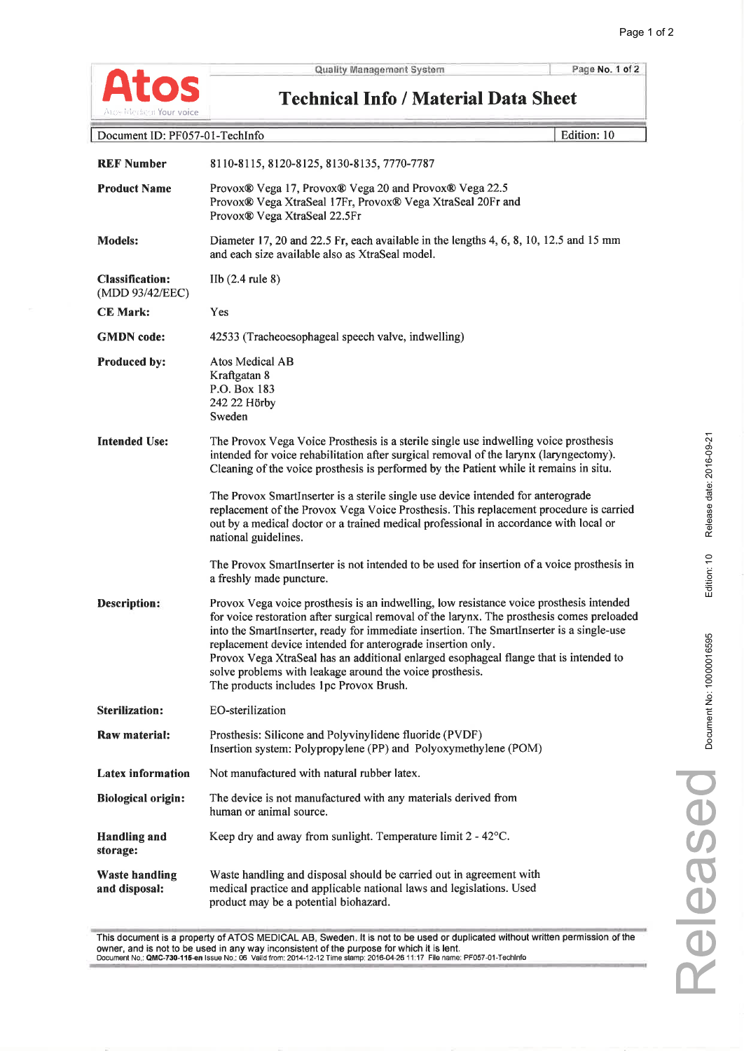

Page No. 1 of 2

Edition: 10

**Technical Info / Material Data Sheet** 

Document ID: PF057-01-TechInfo

| <b>REF Number</b>                         | 8110-8115, 8120-8125, 8130-8135, 7770-7787                                                                                                                                                                                                                                                                                                                                                                                                                                                                                                       |
|-------------------------------------------|--------------------------------------------------------------------------------------------------------------------------------------------------------------------------------------------------------------------------------------------------------------------------------------------------------------------------------------------------------------------------------------------------------------------------------------------------------------------------------------------------------------------------------------------------|
| <b>Product Name</b>                       | Provox® Vega 17, Provox® Vega 20 and Provox® Vega 22.5<br>Provox® Vega XtraSeal 17Fr, Provox® Vega XtraSeal 20Fr and<br>Provox® Vega XtraSeal 22.5Fr                                                                                                                                                                                                                                                                                                                                                                                             |
| <b>Models:</b>                            | Diameter 17, 20 and 22.5 Fr, each available in the lengths 4, 6, 8, 10, 12.5 and 15 mm<br>and each size available also as XtraSeal model.                                                                                                                                                                                                                                                                                                                                                                                                        |
| <b>Classification:</b><br>(MDD 93/42/EEC) | IIb $(2.4$ rule 8)                                                                                                                                                                                                                                                                                                                                                                                                                                                                                                                               |
| <b>CE Mark:</b>                           | Yes                                                                                                                                                                                                                                                                                                                                                                                                                                                                                                                                              |
| <b>GMDN</b> code:                         | 42533 (Tracheoesophageal speech valve, indwelling)                                                                                                                                                                                                                                                                                                                                                                                                                                                                                               |
| <b>Produced by:</b>                       | Atos Medical AB<br>Kraftgatan 8<br>P.O. Box 183<br>242 22 Hörby<br>Sweden                                                                                                                                                                                                                                                                                                                                                                                                                                                                        |
| <b>Intended Use:</b>                      | The Provox Vega Voice Prosthesis is a sterile single use indwelling voice prosthesis<br>intended for voice rehabilitation after surgical removal of the larynx (laryngectomy).<br>Cleaning of the voice prosthesis is performed by the Patient while it remains in situ.                                                                                                                                                                                                                                                                         |
|                                           | The Provox SmartInserter is a sterile single use device intended for anterograde<br>replacement of the Provox Vega Voice Prosthesis. This replacement procedure is carried<br>out by a medical doctor or a trained medical professional in accordance with local or<br>national guidelines.                                                                                                                                                                                                                                                      |
|                                           | The Provox SmartInserter is not intended to be used for insertion of a voice prosthesis in<br>a freshly made puncture.                                                                                                                                                                                                                                                                                                                                                                                                                           |
| <b>Description:</b>                       | Provox Vega voice prosthesis is an indwelling, low resistance voice prosthesis intended<br>for voice restoration after surgical removal of the larynx. The prosthesis comes preloaded<br>into the SmartInserter, ready for immediate insertion. The SmartInserter is a single-use<br>replacement device intended for anterograde insertion only.<br>Provox Vega XtraSeal has an additional enlarged esophageal flange that is intended to<br>solve problems with leakage around the voice prosthesis.<br>The products includes 1pc Provox Brush. |
| <b>Sterilization:</b>                     | EO-sterilization                                                                                                                                                                                                                                                                                                                                                                                                                                                                                                                                 |
| Raw material:                             | Prosthesis: Silicone and Polyvinylidene fluoride (PVDF)<br>Insertion system: Polypropylene (PP) and Polyoxymethylene (POM)                                                                                                                                                                                                                                                                                                                                                                                                                       |
| <b>Latex information</b>                  | Not manufactured with natural rubber latex.                                                                                                                                                                                                                                                                                                                                                                                                                                                                                                      |
| <b>Biological origin:</b>                 | The device is not manufactured with any materials derived from<br>human or animal source.                                                                                                                                                                                                                                                                                                                                                                                                                                                        |
| <b>Handling and</b><br>storage:           | Keep dry and away from sunlight. Temperature limit $2 - 42^{\circ}$ C.                                                                                                                                                                                                                                                                                                                                                                                                                                                                           |
| <b>Waste handling</b><br>and disposal:    | Waste handling and disposal should be carried out in agreement with<br>medical practice and applicable national laws and legislations. Used<br>product may be a potential biohazard.                                                                                                                                                                                                                                                                                                                                                             |

This document is a property of ATOS MEDICAL AB, Sweden. It is not to be used or duplicated without written permission of the owner, and is not to be used in any way inconsistent of the purpose for which it is lent.<br>Document No.: QMC-730-115-en Issue No.: 06 Valid from: 2014-12-12 Time slamp: 2016-04-26 11:17 File name: PF057-01-TechInfo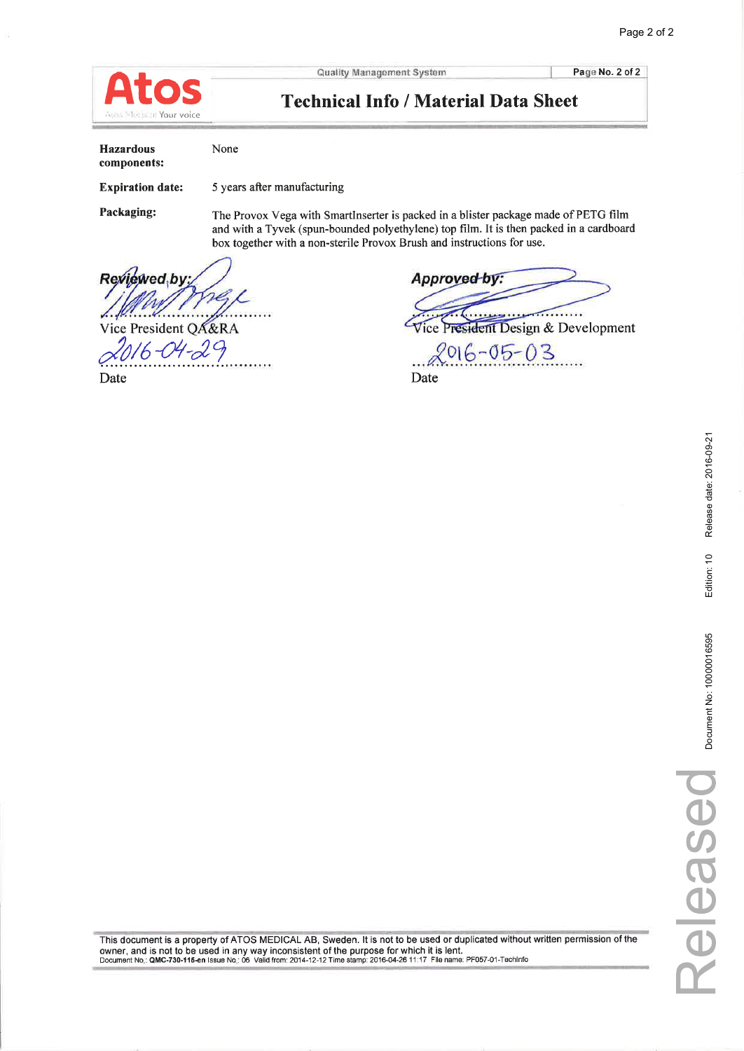

Page No. 2 of 2

## **Technical Info / Material Data Sheet**

| Hazardous<br>components: | None                                                                                                                                     |
|--------------------------|------------------------------------------------------------------------------------------------------------------------------------------|
| <b>Expiration date:</b>  | 5 years after manufacturing                                                                                                              |
| Packaging:               | The Provox Vega with SmartInserter is packed in a blister package<br>and with a Tweek (spun bounded polyethylene) top film. It is then r |

made of PETG film and with a Tyvek (spun-bounded polyethylene) top film. It is then packed in a cardboard box together with a non-sterile Provox Brush and instructions for use.

Reviewed<sub>by</sub> Vice President QA&RA

 $16 - 04 - 29$ 

Date

Approved by:  $\overline{\cdots}$  . . . . . . .

ice President Design & Development

 $2016 - 05 - 03$ Date

Release date: 2016-09-21

Edition: 10

Document No: 10000016595

This document is a property of ATOS MEDICAL AB, Sweden. It is not to be used or duplicated without written permission of the owner, and is not to be used in any way inconsistent of the purpose for which it is lent.<br>Documen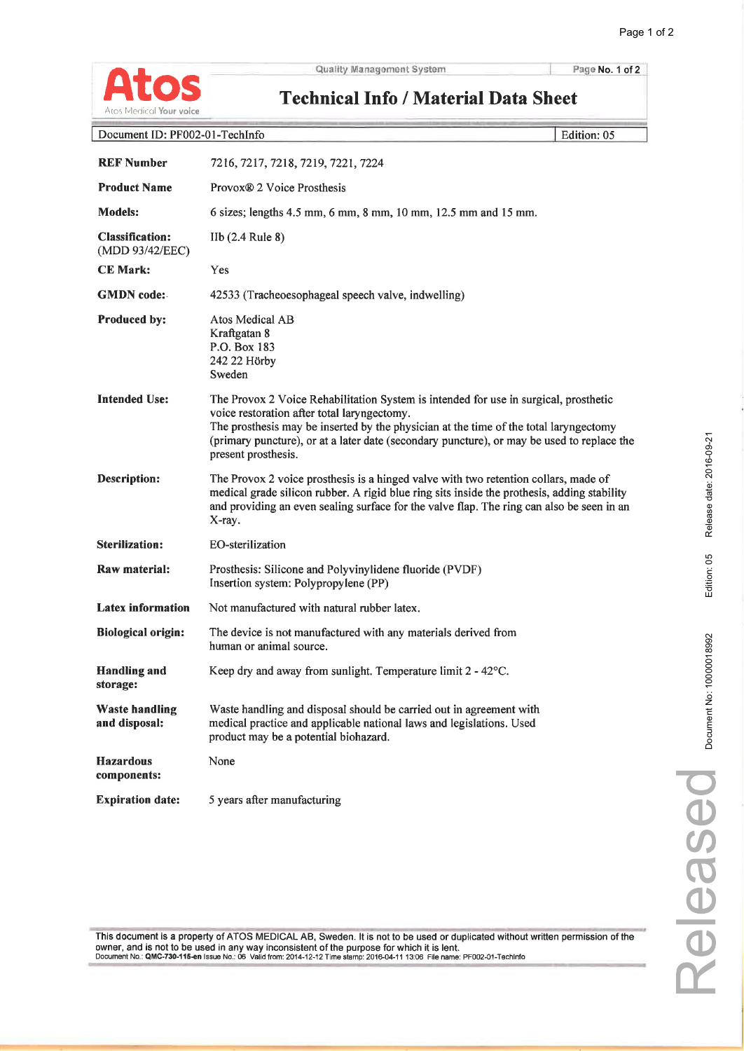

Page No. 1 of 2

| Atos Medical <b>Your voice</b>                | <b>Technical Info / Material Data Sheet</b>                                                                                                                                                                                                                                                                                                       |  |
|-----------------------------------------------|---------------------------------------------------------------------------------------------------------------------------------------------------------------------------------------------------------------------------------------------------------------------------------------------------------------------------------------------------|--|
| Document ID: PF002-01-TechInfo<br>Edition: 05 |                                                                                                                                                                                                                                                                                                                                                   |  |
| <b>REF Number</b>                             | 7216, 7217, 7218, 7219, 7221, 7224                                                                                                                                                                                                                                                                                                                |  |
| <b>Product Name</b>                           | Provox <sup>®</sup> 2 Voice Prosthesis                                                                                                                                                                                                                                                                                                            |  |
| <b>Models:</b>                                | 6 sizes; lengths 4.5 mm, 6 mm, 8 mm, 10 mm, 12.5 mm and 15 mm.                                                                                                                                                                                                                                                                                    |  |
| <b>Classification:</b><br>(MDD 93/42/EEC)     | $I_{1}$ (2.4 Rule 8)                                                                                                                                                                                                                                                                                                                              |  |
| <b>CE Mark:</b>                               | Yes                                                                                                                                                                                                                                                                                                                                               |  |
| <b>GMDN</b> code:                             | 42533 (Tracheoesophageal speech valve, indwelling)                                                                                                                                                                                                                                                                                                |  |
| <b>Produced by:</b>                           | Atos Medical AB<br>Kraftgatan 8<br>P.O. Box 183<br>242 22 Hörby<br>Sweden                                                                                                                                                                                                                                                                         |  |
| <b>Intended Use:</b>                          | The Provox 2 Voice Rehabilitation System is intended for use in surgical, prosthetic<br>voice restoration after total laryngectomy.<br>The prosthesis may be inserted by the physician at the time of the total laryngectomy<br>(primary puncture), or at a later date (secondary puncture), or may be used to replace the<br>present prosthesis. |  |
| <b>Description:</b>                           | The Provox 2 voice prosthesis is a hinged valve with two retention collars, made of<br>medical grade silicon rubber. A rigid blue ring sits inside the prothesis, adding stability<br>and providing an even sealing surface for the valve flap. The ring can also be seen in an<br>X-ray.                                                         |  |
| <b>Sterilization:</b>                         | <b>EO-sterilization</b>                                                                                                                                                                                                                                                                                                                           |  |
| Raw material:                                 | Prosthesis: Silicone and Polyvinylidene fluoride (PVDF)<br>Insertion system: Polypropylene (PP)                                                                                                                                                                                                                                                   |  |
| <b>Latex information</b>                      | Not manufactured with natural rubber latex.                                                                                                                                                                                                                                                                                                       |  |
| <b>Biological origin:</b>                     | The device is not manufactured with any materials derived from<br>human or animal source.                                                                                                                                                                                                                                                         |  |
| <b>Handling and</b><br>storage:               | Keep dry and away from sunlight. Temperature limit 2 - 42°C.                                                                                                                                                                                                                                                                                      |  |
| <b>Waste handling</b><br>and disposal:        | Waste handling and disposal should be carried out in agreement with<br>medical practice and applicable national laws and legislations. Used<br>product may be a potential biohazard.                                                                                                                                                              |  |
| <b>Hazardous</b><br>components:               | None                                                                                                                                                                                                                                                                                                                                              |  |
| <b>Expiration date:</b>                       | 5 years after manufacturing                                                                                                                                                                                                                                                                                                                       |  |

This document is a property of ATOS MEDICAL AB, Sweden. It is not to be used or duplicated without written permission of the owner, and is not to be used in any way inconsistent of the purpose for which it is lent.<br>Documen